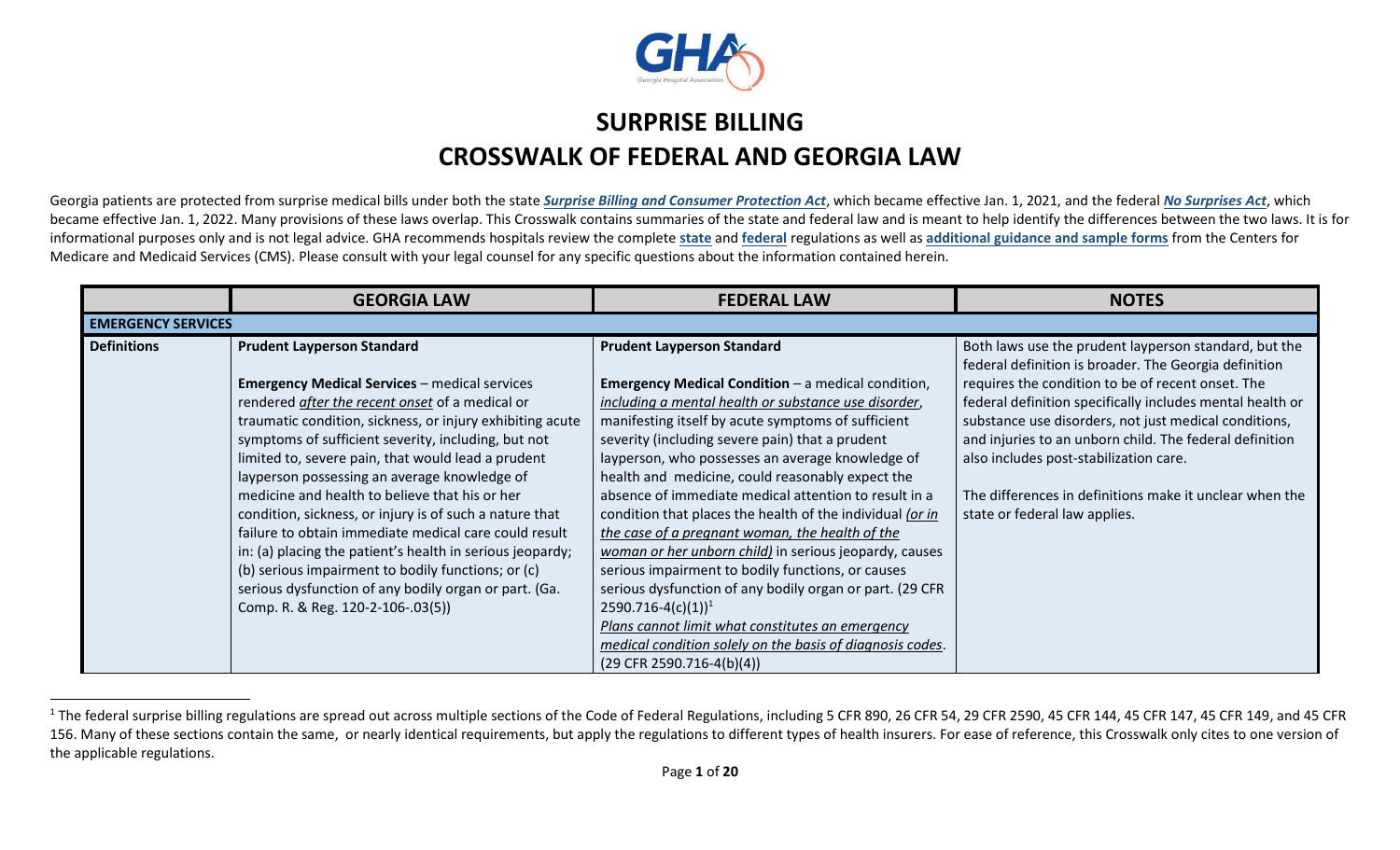

## **SURPRISE BILLING CROSSWALK OF FEDERAL AND GEORGIA LAW**

Georgia patients are protected from surprise medical bills under both the state *[Surprise Billing and Consumer Protection Act](https://www.legis.ga.gov/legislation/57197)*, which became effective Jan. 1, 2021, and the federal *[No Surprises Act](https://www.congress.gov/bill/116th-congress/house-bill/133?q=%7B%22search%22%3A%5B%22hr+133%22%5D%7D&s=1&r=1)*, which became effective Jan. 1, 2022. Many provisions of these laws overlap. This Crosswalk contains summaries of the state and federal law and is meant to help identify the differences between the two laws. It is for informational purposes only and is not legal advice. GHA recommends hospitals review the complete **[state](http://oci.georgia.gov/document/document/final-rules-and-regulations-surprise-billing/download)** and **[federal](https://www.cms.gov/nosurprises/policies-and-resources/overview-of-rules-fact-sheets)** regulations as well as **[additional guidance and sample forms](https://www.cms.gov/nosurprises)** from the Centers for Medicare and Medicaid Services (CMS). Please consult with your legal counsel for any specific questions about the information contained herein.

|                    | <b>GEORGIA LAW</b>                                        | <b>FEDERAL LAW</b>                                        | <b>NOTES</b>                                                                                                   |  |  |  |
|--------------------|-----------------------------------------------------------|-----------------------------------------------------------|----------------------------------------------------------------------------------------------------------------|--|--|--|
|                    | <b>EMERGENCY SERVICES</b>                                 |                                                           |                                                                                                                |  |  |  |
| <b>Definitions</b> | <b>Prudent Layperson Standard</b>                         | <b>Prudent Layperson Standard</b>                         | Both laws use the prudent layperson standard, but the<br>federal definition is broader. The Georgia definition |  |  |  |
|                    | <b>Emergency Medical Services - medical services</b>      | <b>Emergency Medical Condition</b> – a medical condition, | requires the condition to be of recent onset. The                                                              |  |  |  |
|                    | rendered after the recent onset of a medical or           | including a mental health or substance use disorder,      | federal definition specifically includes mental health or                                                      |  |  |  |
|                    | traumatic condition, sickness, or injury exhibiting acute | manifesting itself by acute symptoms of sufficient        | substance use disorders, not just medical conditions,                                                          |  |  |  |
|                    | symptoms of sufficient severity, including, but not       | severity (including severe pain) that a prudent           | and injuries to an unborn child. The federal definition                                                        |  |  |  |
|                    | limited to, severe pain, that would lead a prudent        | layperson, who possesses an average knowledge of          | also includes post-stabilization care.                                                                         |  |  |  |
|                    | layperson possessing an average knowledge of              | health and medicine, could reasonably expect the          |                                                                                                                |  |  |  |
|                    | medicine and health to believe that his or her            | absence of immediate medical attention to result in a     | The differences in definitions make it unclear when the                                                        |  |  |  |
|                    | condition, sickness, or injury is of such a nature that   | condition that places the health of the individual (or in | state or federal law applies.                                                                                  |  |  |  |
|                    | failure to obtain immediate medical care could result     | the case of a pregnant woman, the health of the           |                                                                                                                |  |  |  |
|                    | in: (a) placing the patient's health in serious jeopardy; | woman or her unborn child) in serious jeopardy, causes    |                                                                                                                |  |  |  |
|                    | (b) serious impairment to bodily functions; or (c)        | serious impairment to bodily functions, or causes         |                                                                                                                |  |  |  |
|                    | serious dysfunction of any bodily organ or part. (Ga.     | serious dysfunction of any bodily organ or part. (29 CFR  |                                                                                                                |  |  |  |
|                    | Comp. R. & Reg. 120-2-106-.03(5))                         | $2590.716 - 4(c)(1)^{1}$                                  |                                                                                                                |  |  |  |
|                    |                                                           | Plans cannot limit what constitutes an emergency          |                                                                                                                |  |  |  |
|                    |                                                           | medical condition solely on the basis of diagnosis codes. |                                                                                                                |  |  |  |
|                    |                                                           | $(29$ CFR 2590.716-4(b)(4))                               |                                                                                                                |  |  |  |

 $1$  The federal surprise billing regulations are spread out across multiple sections of the Code of Federal Regulations, including 5 CFR 890, 26 CFR 54, 29 CFR 2590, 45 CFR 144, 45 CFR 147, 45 CFR 149, and 45 CFR 156. Many of these sections contain the same, or nearly identical requirements, but apply the regulations to different types of health insurers. For ease of reference, this Crosswalk only cites to one version of the applicable regulations.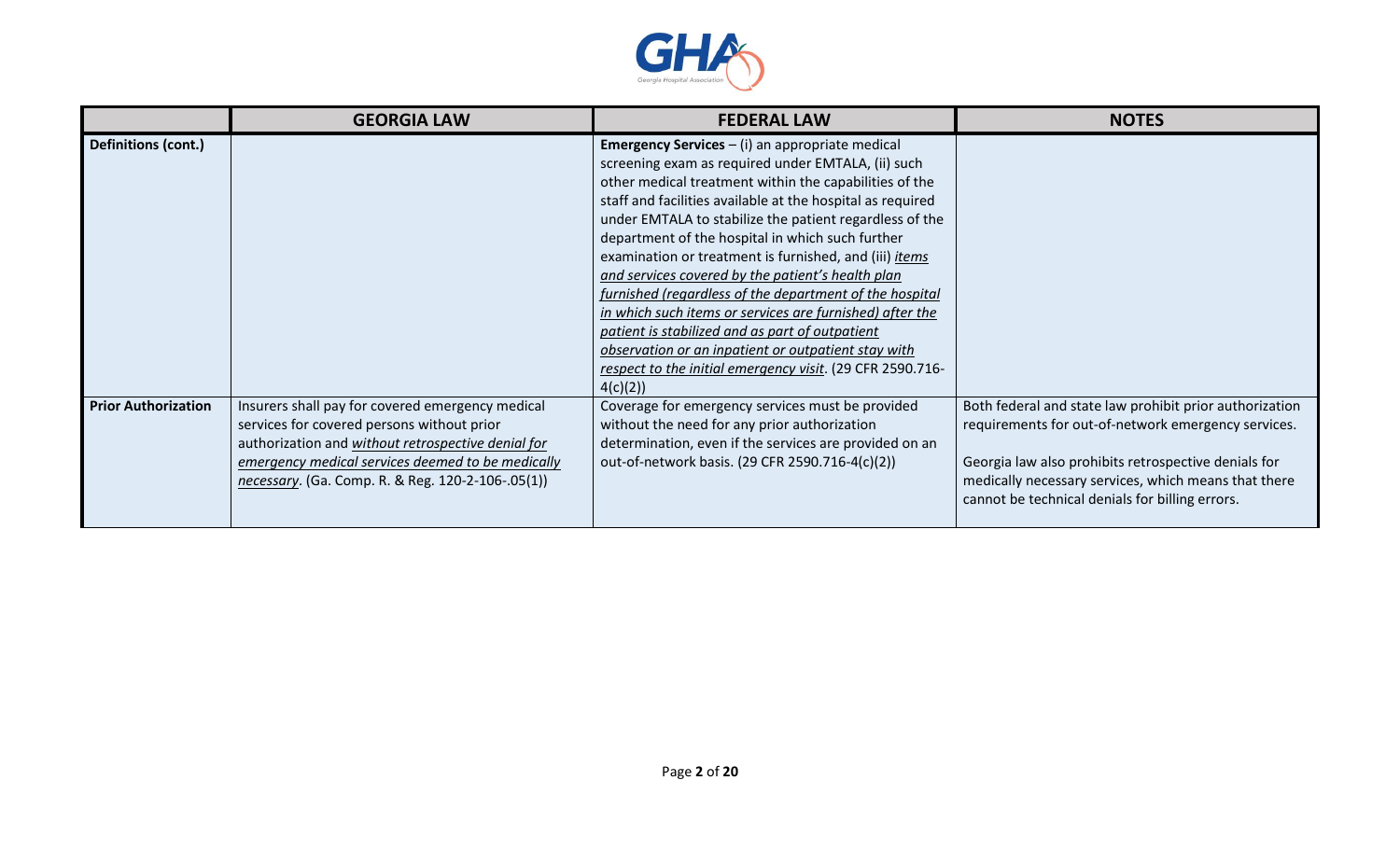

|                            | <b>GEORGIA LAW</b>                                                                                                                                                                                                                                             | <b>FEDERAL LAW</b>                                                                                                                                                                                                                                                                                                                                                                                                                                                                                                                                                                               | <b>NOTES</b>                                                                                                                                                                                                                                                                      |
|----------------------------|----------------------------------------------------------------------------------------------------------------------------------------------------------------------------------------------------------------------------------------------------------------|--------------------------------------------------------------------------------------------------------------------------------------------------------------------------------------------------------------------------------------------------------------------------------------------------------------------------------------------------------------------------------------------------------------------------------------------------------------------------------------------------------------------------------------------------------------------------------------------------|-----------------------------------------------------------------------------------------------------------------------------------------------------------------------------------------------------------------------------------------------------------------------------------|
| Definitions (cont.)        |                                                                                                                                                                                                                                                                | <b>Emergency Services - (i) an appropriate medical</b><br>screening exam as required under EMTALA, (ii) such<br>other medical treatment within the capabilities of the<br>staff and facilities available at the hospital as required<br>under EMTALA to stabilize the patient regardless of the<br>department of the hospital in which such further<br>examination or treatment is furnished, and (iii) <i>items</i><br>and services covered by the patient's health plan<br>furnished (regardless of the department of the hospital<br>in which such items or services are furnished) after the |                                                                                                                                                                                                                                                                                   |
|                            |                                                                                                                                                                                                                                                                | patient is stabilized and as part of outpatient<br>observation or an inpatient or outpatient stay with<br>respect to the initial emergency visit. (29 CFR 2590.716-<br>4(c)(2)                                                                                                                                                                                                                                                                                                                                                                                                                   |                                                                                                                                                                                                                                                                                   |
| <b>Prior Authorization</b> | Insurers shall pay for covered emergency medical<br>services for covered persons without prior<br>authorization and without retrospective denial for<br>emergency medical services deemed to be medically<br>necessary. (Ga. Comp. R. & Reg. 120-2-106-.05(1)) | Coverage for emergency services must be provided<br>without the need for any prior authorization<br>determination, even if the services are provided on an<br>out-of-network basis. (29 CFR 2590.716-4(c)(2))                                                                                                                                                                                                                                                                                                                                                                                    | Both federal and state law prohibit prior authorization<br>requirements for out-of-network emergency services.<br>Georgia law also prohibits retrospective denials for<br>medically necessary services, which means that there<br>cannot be technical denials for billing errors. |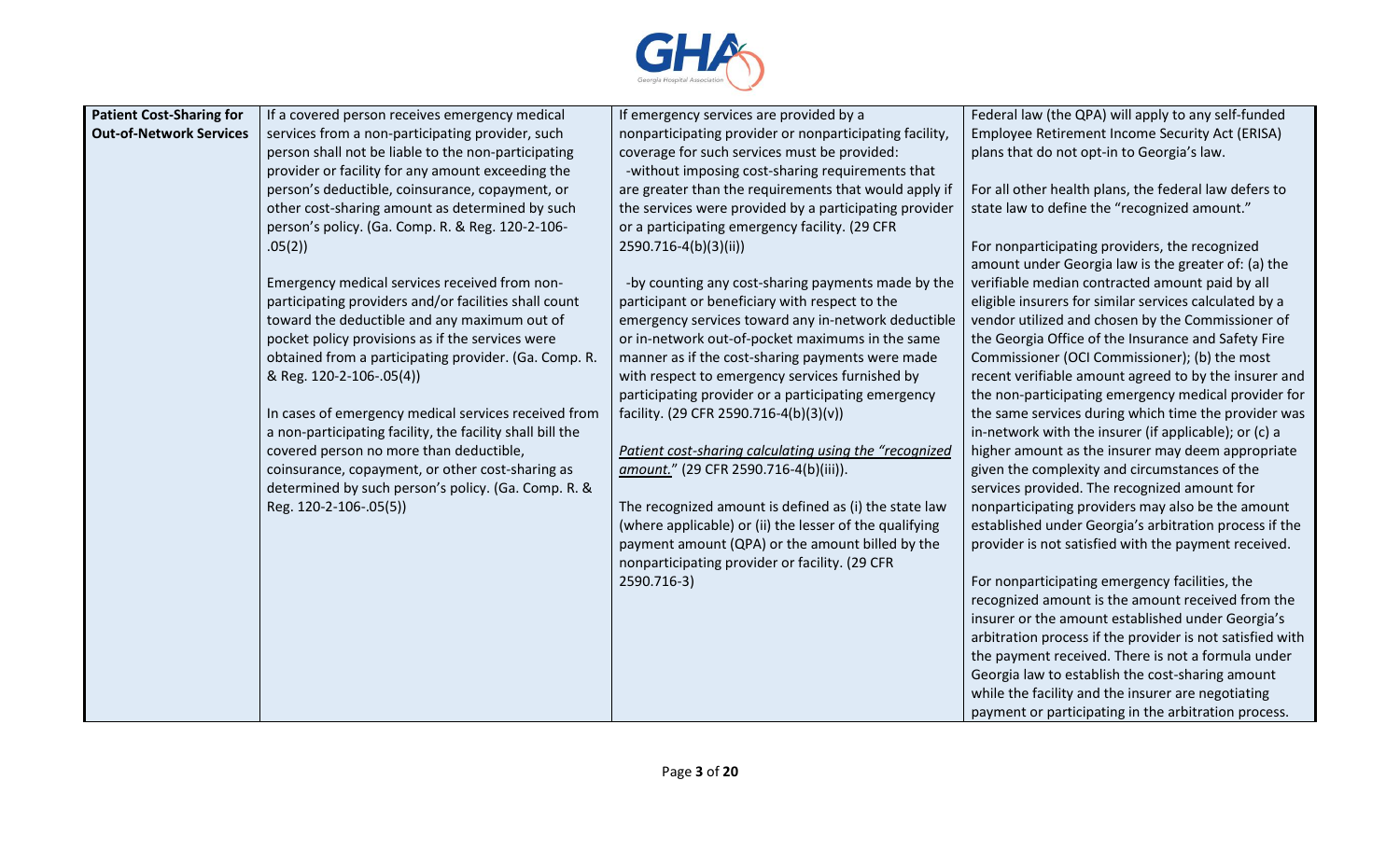

| <b>Patient Cost-Sharing for</b> | If a covered person receives emergency medical            | If emergency services are provided by a                 | Federal law (the QPA) will apply to any self-funded                                                             |
|---------------------------------|-----------------------------------------------------------|---------------------------------------------------------|-----------------------------------------------------------------------------------------------------------------|
| <b>Out-of-Network Services</b>  | services from a non-participating provider, such          | nonparticipating provider or nonparticipating facility, | Employee Retirement Income Security Act (ERISA)                                                                 |
|                                 | person shall not be liable to the non-participating       | coverage for such services must be provided:            | plans that do not opt-in to Georgia's law.                                                                      |
|                                 | provider or facility for any amount exceeding the         | -without imposing cost-sharing requirements that        |                                                                                                                 |
|                                 | person's deductible, coinsurance, copayment, or           | are greater than the requirements that would apply if   | For all other health plans, the federal law defers to                                                           |
|                                 | other cost-sharing amount as determined by such           | the services were provided by a participating provider  | state law to define the "recognized amount."                                                                    |
|                                 | person's policy. (Ga. Comp. R. & Reg. 120-2-106-          | or a participating emergency facility. (29 CFR          |                                                                                                                 |
|                                 | .05(2)                                                    | 2590.716-4(b)(3)(ii))                                   | For nonparticipating providers, the recognized<br>amount under Georgia law is the greater of: (a) the           |
|                                 | Emergency medical services received from non-             | -by counting any cost-sharing payments made by the      | verifiable median contracted amount paid by all                                                                 |
|                                 | participating providers and/or facilities shall count     | participant or beneficiary with respect to the          | eligible insurers for similar services calculated by a                                                          |
|                                 | toward the deductible and any maximum out of              | emergency services toward any in-network deductible     | vendor utilized and chosen by the Commissioner of                                                               |
|                                 | pocket policy provisions as if the services were          | or in-network out-of-pocket maximums in the same        | the Georgia Office of the Insurance and Safety Fire                                                             |
|                                 | obtained from a participating provider. (Ga. Comp. R.     | manner as if the cost-sharing payments were made        | Commissioner (OCI Commissioner); (b) the most                                                                   |
|                                 | & Reg. 120-2-106-.05(4))                                  | with respect to emergency services furnished by         | recent verifiable amount agreed to by the insurer and                                                           |
|                                 |                                                           | participating provider or a participating emergency     | the non-participating emergency medical provider for                                                            |
|                                 | In cases of emergency medical services received from      | facility. (29 CFR 2590.716-4(b)(3)(v))                  | the same services during which time the provider was                                                            |
|                                 | a non-participating facility, the facility shall bill the |                                                         | in-network with the insurer (if applicable); or (c) a                                                           |
|                                 | covered person no more than deductible,                   | Patient cost-sharing calculating using the "recognized  | higher amount as the insurer may deem appropriate                                                               |
|                                 | coinsurance, copayment, or other cost-sharing as          | amount." (29 CFR 2590.716-4(b)(iii)).                   | given the complexity and circumstances of the                                                                   |
|                                 | determined by such person's policy. (Ga. Comp. R. &       |                                                         | services provided. The recognized amount for                                                                    |
|                                 | Reg. 120-2-106-.05(5))                                    | The recognized amount is defined as (i) the state law   | nonparticipating providers may also be the amount                                                               |
|                                 |                                                           | (where applicable) or (ii) the lesser of the qualifying | established under Georgia's arbitration process if the                                                          |
|                                 |                                                           | payment amount (QPA) or the amount billed by the        | provider is not satisfied with the payment received.                                                            |
|                                 |                                                           | nonparticipating provider or facility. (29 CFR          |                                                                                                                 |
|                                 |                                                           | 2590.716-3)                                             | For nonparticipating emergency facilities, the                                                                  |
|                                 |                                                           |                                                         | recognized amount is the amount received from the                                                               |
|                                 |                                                           |                                                         | insurer or the amount established under Georgia's                                                               |
|                                 |                                                           |                                                         | arbitration process if the provider is not satisfied with<br>the payment received. There is not a formula under |
|                                 |                                                           |                                                         | Georgia law to establish the cost-sharing amount                                                                |
|                                 |                                                           |                                                         | while the facility and the insurer are negotiating                                                              |
|                                 |                                                           |                                                         | payment or participating in the arbitration process.                                                            |
|                                 |                                                           |                                                         |                                                                                                                 |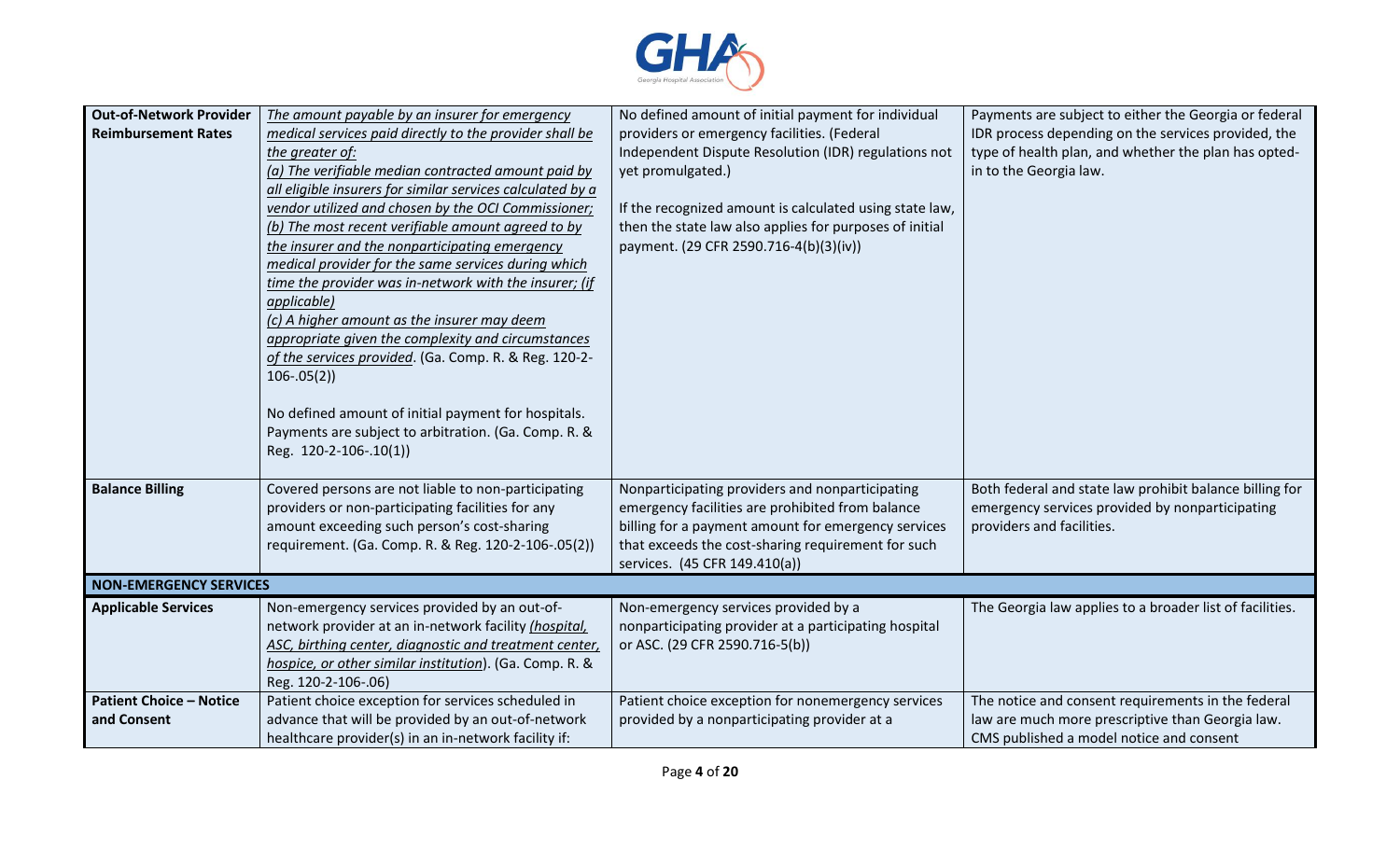

| <b>Out-of-Network Provider</b><br><b>Reimbursement Rates</b> | The amount payable by an insurer for emergency<br>medical services paid directly to the provider shall be<br>the greater of:<br>(a) The verifiable median contracted amount paid by<br>all eligible insurers for similar services calculated by a<br>vendor utilized and chosen by the OCI Commissioner;<br>(b) The most recent verifiable amount agreed to by<br>the insurer and the nonparticipating emergency<br>medical provider for the same services during which<br>time the provider was in-network with the insurer; (if<br>applicable)<br>(c) A higher amount as the insurer may deem<br>appropriate given the complexity and circumstances<br>of the services provided. (Ga. Comp. R. & Reg. 120-2-<br>$106-.05(2)$<br>No defined amount of initial payment for hospitals.<br>Payments are subject to arbitration. (Ga. Comp. R. &<br>Reg. 120-2-106-.10(1)) | No defined amount of initial payment for individual<br>providers or emergency facilities. (Federal<br>Independent Dispute Resolution (IDR) regulations not<br>yet promulgated.)<br>If the recognized amount is calculated using state law,<br>then the state law also applies for purposes of initial<br>payment. (29 CFR 2590.716-4(b)(3)(iv)) | Payments are subject to either the Georgia or federal<br>IDR process depending on the services provided, the<br>type of health plan, and whether the plan has opted-<br>in to the Georgia law. |
|--------------------------------------------------------------|-------------------------------------------------------------------------------------------------------------------------------------------------------------------------------------------------------------------------------------------------------------------------------------------------------------------------------------------------------------------------------------------------------------------------------------------------------------------------------------------------------------------------------------------------------------------------------------------------------------------------------------------------------------------------------------------------------------------------------------------------------------------------------------------------------------------------------------------------------------------------|-------------------------------------------------------------------------------------------------------------------------------------------------------------------------------------------------------------------------------------------------------------------------------------------------------------------------------------------------|------------------------------------------------------------------------------------------------------------------------------------------------------------------------------------------------|
| <b>Balance Billing</b>                                       | Covered persons are not liable to non-participating<br>providers or non-participating facilities for any<br>amount exceeding such person's cost-sharing<br>requirement. (Ga. Comp. R. & Reg. 120-2-106-.05(2))                                                                                                                                                                                                                                                                                                                                                                                                                                                                                                                                                                                                                                                          | Nonparticipating providers and nonparticipating<br>emergency facilities are prohibited from balance<br>billing for a payment amount for emergency services<br>that exceeds the cost-sharing requirement for such<br>services. (45 CFR 149.410(a))                                                                                               | Both federal and state law prohibit balance billing for<br>emergency services provided by nonparticipating<br>providers and facilities.                                                        |
| <b>NON-EMERGENCY SERVICES</b>                                |                                                                                                                                                                                                                                                                                                                                                                                                                                                                                                                                                                                                                                                                                                                                                                                                                                                                         |                                                                                                                                                                                                                                                                                                                                                 |                                                                                                                                                                                                |
| <b>Applicable Services</b>                                   | Non-emergency services provided by an out-of-<br>network provider at an in-network facility (hospital,<br>ASC, birthing center, diagnostic and treatment center,<br>hospice, or other similar institution). (Ga. Comp. R. &<br>Reg. 120-2-106-.06)                                                                                                                                                                                                                                                                                                                                                                                                                                                                                                                                                                                                                      | Non-emergency services provided by a<br>nonparticipating provider at a participating hospital<br>or ASC. (29 CFR 2590.716-5(b))                                                                                                                                                                                                                 | The Georgia law applies to a broader list of facilities.                                                                                                                                       |
| <b>Patient Choice - Notice</b><br>and Consent                | Patient choice exception for services scheduled in<br>advance that will be provided by an out-of-network<br>healthcare provider(s) in an in-network facility if:                                                                                                                                                                                                                                                                                                                                                                                                                                                                                                                                                                                                                                                                                                        | Patient choice exception for nonemergency services<br>provided by a nonparticipating provider at a                                                                                                                                                                                                                                              | The notice and consent requirements in the federal<br>law are much more prescriptive than Georgia law.<br>CMS published a model notice and consent                                             |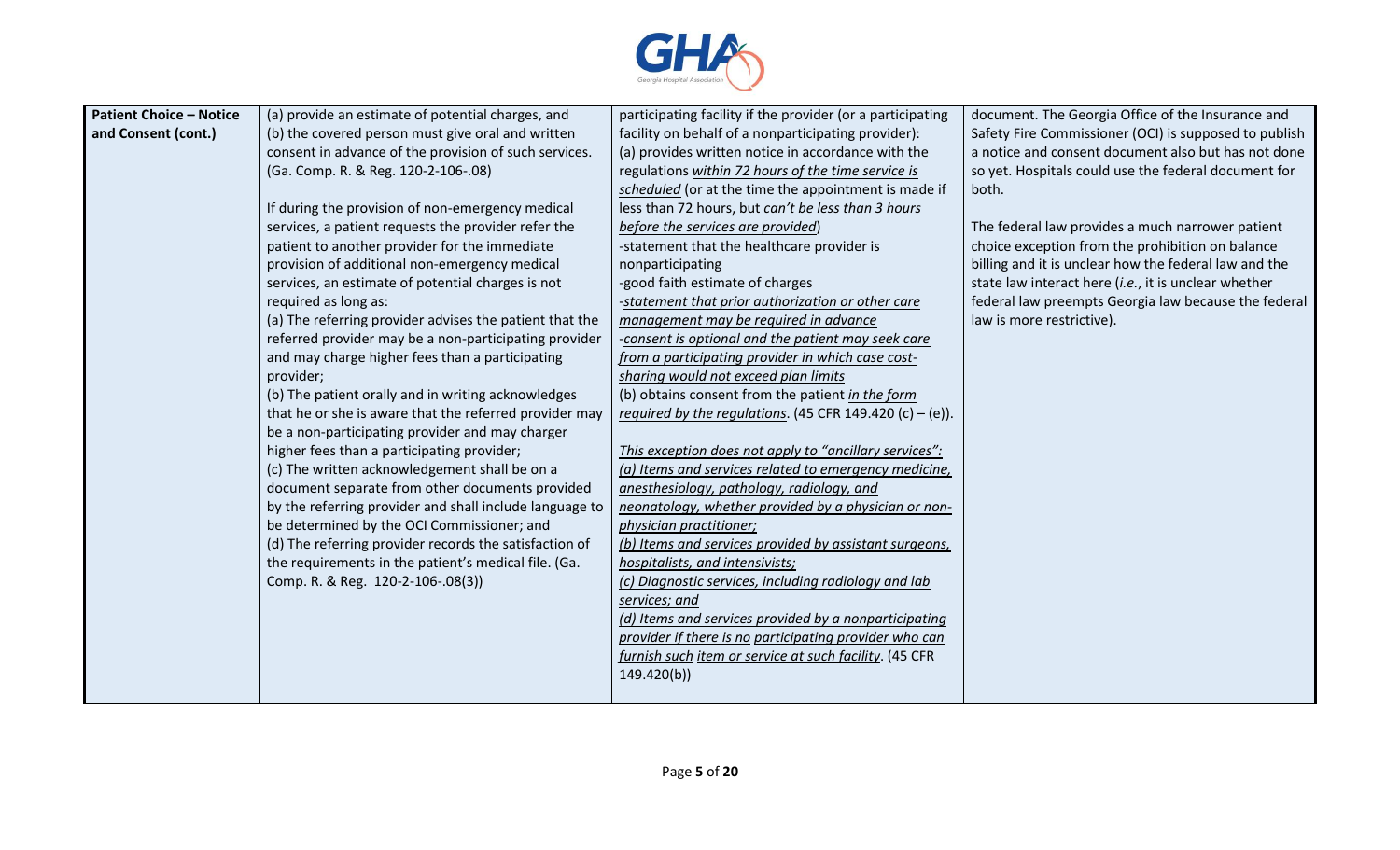

| <b>Patient Choice - Notice</b> | (a) provide an estimate of potential charges, and       | participating facility if the provider (or a participating | document. The Georgia Office of the Insurance and     |
|--------------------------------|---------------------------------------------------------|------------------------------------------------------------|-------------------------------------------------------|
| and Consent (cont.)            | (b) the covered person must give oral and written       | facility on behalf of a nonparticipating provider):        | Safety Fire Commissioner (OCI) is supposed to publish |
|                                | consent in advance of the provision of such services.   | (a) provides written notice in accordance with the         | a notice and consent document also but has not done   |
|                                | (Ga. Comp. R. & Reg. 120-2-106-.08)                     | regulations within 72 hours of the time service is         | so yet. Hospitals could use the federal document for  |
|                                |                                                         | scheduled (or at the time the appointment is made if       | both.                                                 |
|                                | If during the provision of non-emergency medical        | less than 72 hours, but can't be less than 3 hours         |                                                       |
|                                | services, a patient requests the provider refer the     | before the services are provided)                          | The federal law provides a much narrower patient      |
|                                | patient to another provider for the immediate           | -statement that the healthcare provider is                 | choice exception from the prohibition on balance      |
|                                | provision of additional non-emergency medical           | nonparticipating                                           | billing and it is unclear how the federal law and the |
|                                | services, an estimate of potential charges is not       | -good faith estimate of charges                            | state law interact here (i.e., it is unclear whether  |
|                                | required as long as:                                    | -statement that prior authorization or other care          | federal law preempts Georgia law because the federal  |
|                                | (a) The referring provider advises the patient that the | management may be required in advance                      | law is more restrictive).                             |
|                                | referred provider may be a non-participating provider   | -consent is optional and the patient may seek care         |                                                       |
|                                | and may charge higher fees than a participating         | from a participating provider in which case cost-          |                                                       |
|                                | provider;                                               | sharing would not exceed plan limits                       |                                                       |
|                                | (b) The patient orally and in writing acknowledges      | (b) obtains consent from the patient in the form           |                                                       |
|                                | that he or she is aware that the referred provider may  | required by the regulations. (45 CFR 149.420 (c) - (e)).   |                                                       |
|                                | be a non-participating provider and may charger         |                                                            |                                                       |
|                                | higher fees than a participating provider;              | This exception does not apply to "ancillary services":     |                                                       |
|                                | (c) The written acknowledgement shall be on a           | (a) Items and services related to emergency medicine,      |                                                       |
|                                | document separate from other documents provided         | anesthesiology, pathology, radiology, and                  |                                                       |
|                                | by the referring provider and shall include language to | neonatology, whether provided by a physician or non-       |                                                       |
|                                | be determined by the OCI Commissioner; and              | physician practitioner;                                    |                                                       |
|                                | (d) The referring provider records the satisfaction of  | (b) Items and services provided by assistant surgeons,     |                                                       |
|                                | the requirements in the patient's medical file. (Ga.    | hospitalists, and intensivists;                            |                                                       |
|                                | Comp. R. & Reg. 120-2-106-.08(3))                       | (c) Diagnostic services, including radiology and lab       |                                                       |
|                                |                                                         | services; and                                              |                                                       |
|                                |                                                         | (d) Items and services provided by a nonparticipating      |                                                       |
|                                |                                                         | provider if there is no participating provider who can     |                                                       |
|                                |                                                         | furnish such item or service at such facility. (45 CFR     |                                                       |
|                                |                                                         | 149.420(b)                                                 |                                                       |
|                                |                                                         |                                                            |                                                       |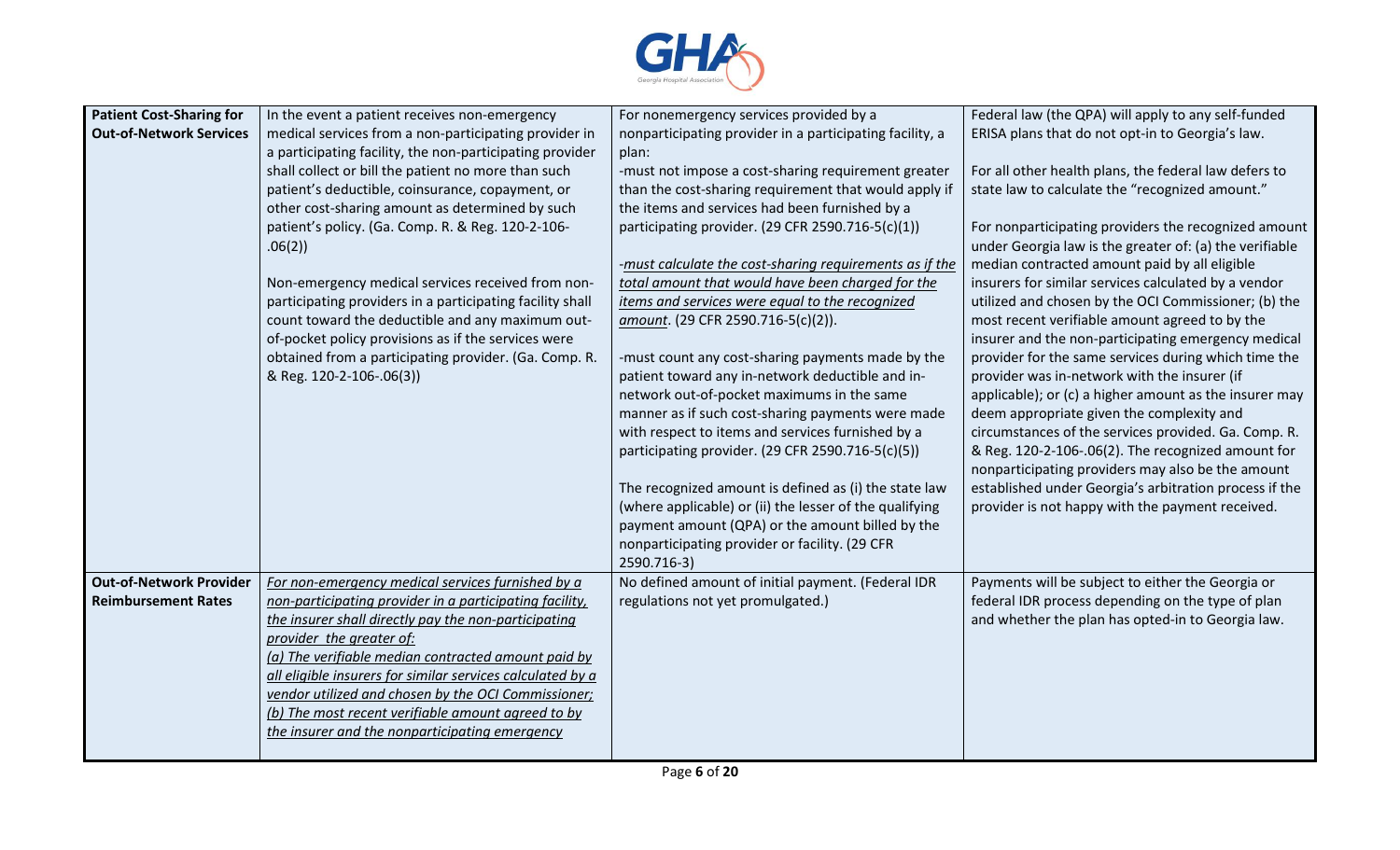

| <b>Patient Cost-Sharing for</b><br>Federal law (the QPA) will apply to any self-funded<br>In the event a patient receives non-emergency<br>For nonemergency services provided by a                                                                                                                                                                                                |  |
|-----------------------------------------------------------------------------------------------------------------------------------------------------------------------------------------------------------------------------------------------------------------------------------------------------------------------------------------------------------------------------------|--|
| <b>Out-of-Network Services</b><br>medical services from a non-participating provider in<br>nonparticipating provider in a participating facility, a<br>ERISA plans that do not opt-in to Georgia's law.                                                                                                                                                                           |  |
| a participating facility, the non-participating provider<br>plan:                                                                                                                                                                                                                                                                                                                 |  |
| shall collect or bill the patient no more than such<br>-must not impose a cost-sharing requirement greater<br>For all other health plans, the federal law defers to                                                                                                                                                                                                               |  |
| state law to calculate the "recognized amount."<br>patient's deductible, coinsurance, copayment, or<br>than the cost-sharing requirement that would apply if                                                                                                                                                                                                                      |  |
| the items and services had been furnished by a<br>other cost-sharing amount as determined by such                                                                                                                                                                                                                                                                                 |  |
| patient's policy. (Ga. Comp. R. & Reg. 120-2-106-<br>participating provider. (29 CFR 2590.716-5(c)(1))<br>For nonparticipating providers the recognized amount                                                                                                                                                                                                                    |  |
| under Georgia law is the greater of: (a) the verifiable<br>.06(2)                                                                                                                                                                                                                                                                                                                 |  |
| median contracted amount paid by all eligible<br>-must calculate the cost-sharing requirements as if the                                                                                                                                                                                                                                                                          |  |
| total amount that would have been charged for the<br>insurers for similar services calculated by a vendor<br>Non-emergency medical services received from non-                                                                                                                                                                                                                    |  |
| items and services were equal to the recognized<br>participating providers in a participating facility shall<br>utilized and chosen by the OCI Commissioner; (b) the                                                                                                                                                                                                              |  |
| count toward the deductible and any maximum out-<br>most recent verifiable amount agreed to by the<br>amount. (29 CFR 2590.716-5(c)(2)).                                                                                                                                                                                                                                          |  |
| of-pocket policy provisions as if the services were<br>insurer and the non-participating emergency medical                                                                                                                                                                                                                                                                        |  |
| obtained from a participating provider. (Ga. Comp. R.<br>provider for the same services during which time the<br>-must count any cost-sharing payments made by the                                                                                                                                                                                                                |  |
| & Reg. 120-2-106-.06(3))<br>patient toward any in-network deductible and in-<br>provider was in-network with the insurer (if                                                                                                                                                                                                                                                      |  |
| network out-of-pocket maximums in the same<br>applicable); or (c) a higher amount as the insurer may                                                                                                                                                                                                                                                                              |  |
| manner as if such cost-sharing payments were made<br>deem appropriate given the complexity and                                                                                                                                                                                                                                                                                    |  |
| with respect to items and services furnished by a<br>circumstances of the services provided. Ga. Comp. R.                                                                                                                                                                                                                                                                         |  |
| participating provider. (29 CFR 2590.716-5(c)(5))<br>& Reg. 120-2-106-.06(2). The recognized amount for                                                                                                                                                                                                                                                                           |  |
| nonparticipating providers may also be the amount                                                                                                                                                                                                                                                                                                                                 |  |
| The recognized amount is defined as (i) the state law<br>established under Georgia's arbitration process if the                                                                                                                                                                                                                                                                   |  |
| provider is not happy with the payment received.<br>(where applicable) or (ii) the lesser of the qualifying                                                                                                                                                                                                                                                                       |  |
| payment amount (QPA) or the amount billed by the                                                                                                                                                                                                                                                                                                                                  |  |
| nonparticipating provider or facility. (29 CFR                                                                                                                                                                                                                                                                                                                                    |  |
| 2590.716-3)                                                                                                                                                                                                                                                                                                                                                                       |  |
| <b>Out-of-Network Provider</b><br>For non-emergency medical services furnished by a<br>No defined amount of initial payment. (Federal IDR<br>Payments will be subject to either the Georgia or<br><b>Reimbursement Rates</b><br>non-participating provider in a participating facility,<br>regulations not yet promulgated.)<br>federal IDR process depending on the type of plan |  |
| the insurer shall directly pay the non-participating<br>and whether the plan has opted-in to Georgia law.                                                                                                                                                                                                                                                                         |  |
| provider the greater of:                                                                                                                                                                                                                                                                                                                                                          |  |
| (a) The verifiable median contracted amount paid by                                                                                                                                                                                                                                                                                                                               |  |
| all eligible insurers for similar services calculated by a                                                                                                                                                                                                                                                                                                                        |  |
| vendor utilized and chosen by the OCI Commissioner;                                                                                                                                                                                                                                                                                                                               |  |
| (b) The most recent verifiable amount agreed to by                                                                                                                                                                                                                                                                                                                                |  |
| the insurer and the nonparticipating emergency                                                                                                                                                                                                                                                                                                                                    |  |
|                                                                                                                                                                                                                                                                                                                                                                                   |  |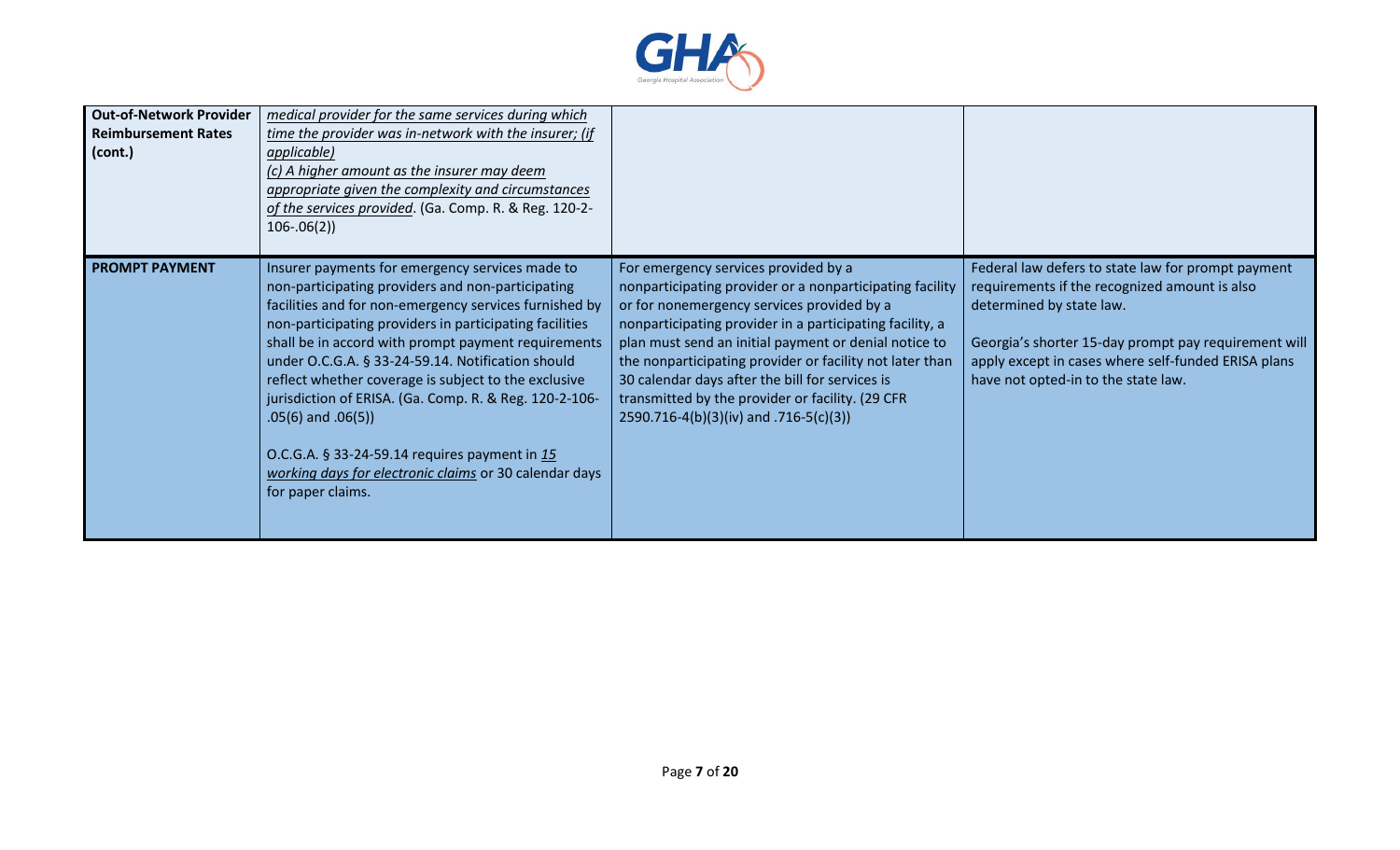

| <b>Out-of-Network Provider</b><br><b>Reimbursement Rates</b><br>(cont.) | medical provider for the same services during which<br>time the provider was in-network with the insurer; (if<br>applicable)<br>(c) A higher amount as the insurer may deem<br>appropriate given the complexity and circumstances<br>of the services provided. (Ga. Comp. R. & Reg. 120-2-<br>$106 - .06(2)$                                                                                                                                                                                                                                                                                                     |                                                                                                                                                                                                                                                                                                                                                                                                                                                                                  |                                                                                                                                                                                                                                                                                       |
|-------------------------------------------------------------------------|------------------------------------------------------------------------------------------------------------------------------------------------------------------------------------------------------------------------------------------------------------------------------------------------------------------------------------------------------------------------------------------------------------------------------------------------------------------------------------------------------------------------------------------------------------------------------------------------------------------|----------------------------------------------------------------------------------------------------------------------------------------------------------------------------------------------------------------------------------------------------------------------------------------------------------------------------------------------------------------------------------------------------------------------------------------------------------------------------------|---------------------------------------------------------------------------------------------------------------------------------------------------------------------------------------------------------------------------------------------------------------------------------------|
| <b>PROMPT PAYMENT</b>                                                   | Insurer payments for emergency services made to<br>non-participating providers and non-participating<br>facilities and for non-emergency services furnished by<br>non-participating providers in participating facilities<br>shall be in accord with prompt payment requirements<br>under O.C.G.A. § 33-24-59.14. Notification should<br>reflect whether coverage is subject to the exclusive<br>jurisdiction of ERISA. (Ga. Comp. R. & Reg. 120-2-106-<br>$.05(6)$ and $.06(5)$<br>O.C.G.A. § 33-24-59.14 requires payment in 15<br>working days for electronic claims or 30 calendar days<br>for paper claims. | For emergency services provided by a<br>nonparticipating provider or a nonparticipating facility<br>or for nonemergency services provided by a<br>nonparticipating provider in a participating facility, a<br>plan must send an initial payment or denial notice to<br>the nonparticipating provider or facility not later than<br>30 calendar days after the bill for services is<br>transmitted by the provider or facility. (29 CFR<br>2590.716-4(b)(3)(iv) and .716-5(c)(3)) | Federal law defers to state law for prompt payment<br>requirements if the recognized amount is also<br>determined by state law.<br>Georgia's shorter 15-day prompt pay requirement will<br>apply except in cases where self-funded ERISA plans<br>have not opted-in to the state law. |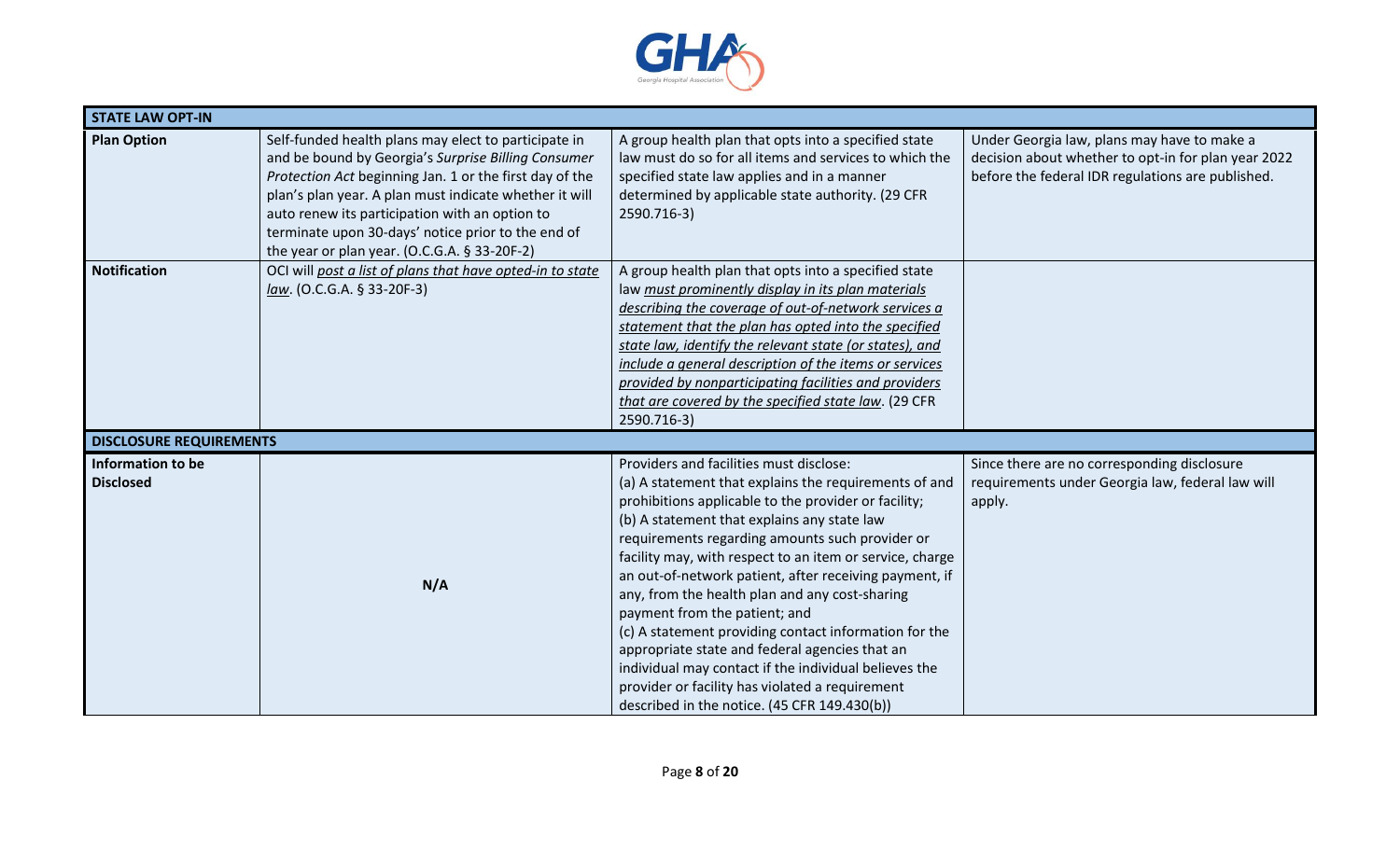

| <b>STATE LAW OPT-IN</b>               |                                                                                                                                                                                                                                                                                                                                                                                             |                                                                                                                                                                                                                                                                                                                                                                                                                                                                                                                                                                                                                                                                                                                                            |                                                                                                                                                         |
|---------------------------------------|---------------------------------------------------------------------------------------------------------------------------------------------------------------------------------------------------------------------------------------------------------------------------------------------------------------------------------------------------------------------------------------------|--------------------------------------------------------------------------------------------------------------------------------------------------------------------------------------------------------------------------------------------------------------------------------------------------------------------------------------------------------------------------------------------------------------------------------------------------------------------------------------------------------------------------------------------------------------------------------------------------------------------------------------------------------------------------------------------------------------------------------------------|---------------------------------------------------------------------------------------------------------------------------------------------------------|
| <b>Plan Option</b>                    | Self-funded health plans may elect to participate in<br>and be bound by Georgia's Surprise Billing Consumer<br>Protection Act beginning Jan. 1 or the first day of the<br>plan's plan year. A plan must indicate whether it will<br>auto renew its participation with an option to<br>terminate upon 30-days' notice prior to the end of<br>the year or plan year. (O.C.G.A. $\S$ 33-20F-2) | A group health plan that opts into a specified state<br>law must do so for all items and services to which the<br>specified state law applies and in a manner<br>determined by applicable state authority. (29 CFR<br>2590.716-3)                                                                                                                                                                                                                                                                                                                                                                                                                                                                                                          | Under Georgia law, plans may have to make a<br>decision about whether to opt-in for plan year 2022<br>before the federal IDR regulations are published. |
| <b>Notification</b>                   | OCI will post a list of plans that have opted-in to state<br>$law. (O.C.G.A. § 33-20F-3)$                                                                                                                                                                                                                                                                                                   | A group health plan that opts into a specified state<br>law must prominently display in its plan materials<br>describing the coverage of out-of-network services a<br>statement that the plan has opted into the specified<br>state law, identify the relevant state (or states), and<br>include a general description of the items or services<br>provided by nonparticipating facilities and providers<br>that are covered by the specified state law. (29 CFR<br>2590.716-3)                                                                                                                                                                                                                                                            |                                                                                                                                                         |
| <b>DISCLOSURE REQUIREMENTS</b>        |                                                                                                                                                                                                                                                                                                                                                                                             |                                                                                                                                                                                                                                                                                                                                                                                                                                                                                                                                                                                                                                                                                                                                            |                                                                                                                                                         |
| Information to be<br><b>Disclosed</b> | N/A                                                                                                                                                                                                                                                                                                                                                                                         | Providers and facilities must disclose:<br>(a) A statement that explains the requirements of and<br>prohibitions applicable to the provider or facility;<br>(b) A statement that explains any state law<br>requirements regarding amounts such provider or<br>facility may, with respect to an item or service, charge<br>an out-of-network patient, after receiving payment, if<br>any, from the health plan and any cost-sharing<br>payment from the patient; and<br>(c) A statement providing contact information for the<br>appropriate state and federal agencies that an<br>individual may contact if the individual believes the<br>provider or facility has violated a requirement<br>described in the notice. (45 CFR 149.430(b)) | Since there are no corresponding disclosure<br>requirements under Georgia law, federal law will<br>apply.                                               |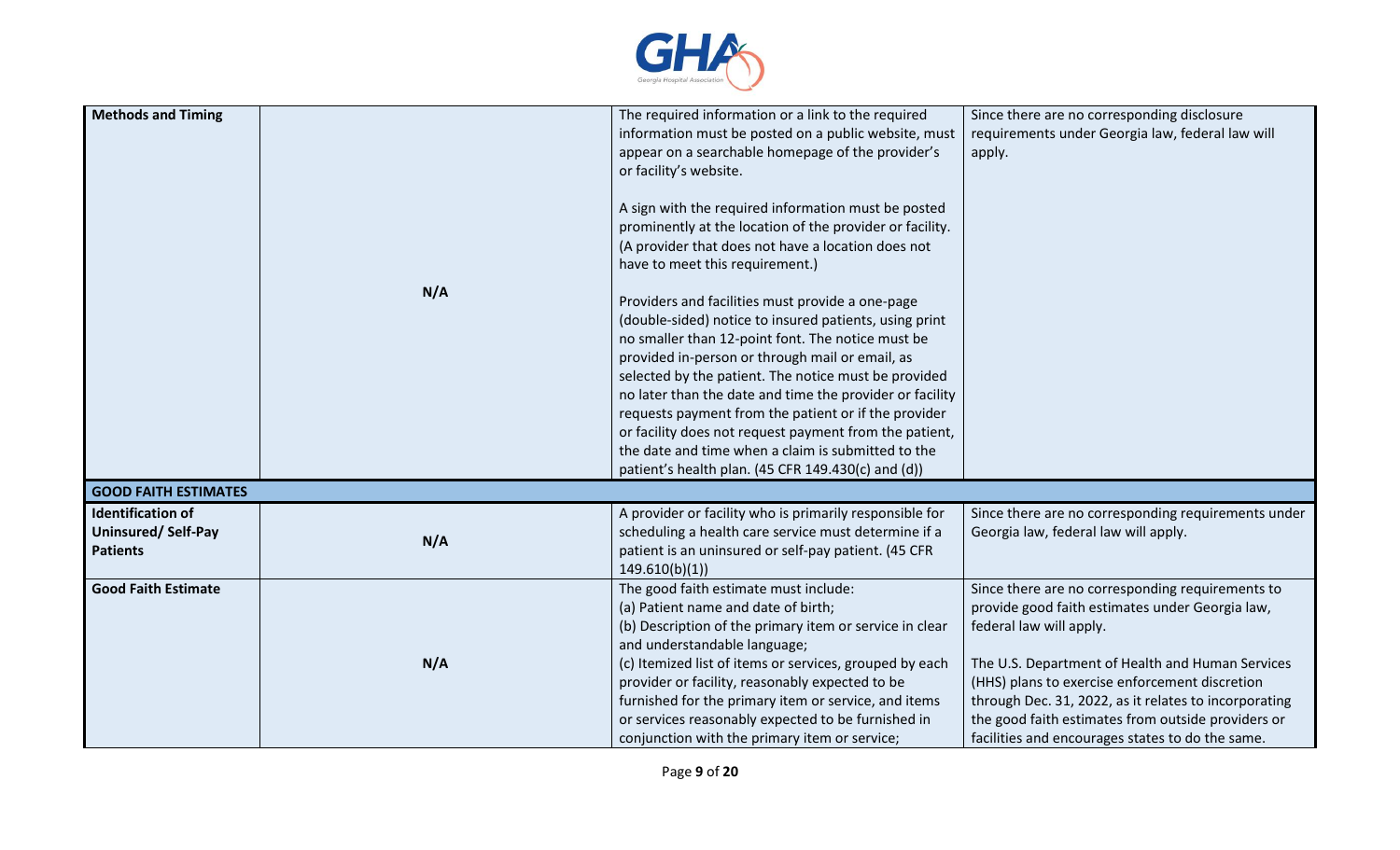

| <b>Methods and Timing</b>                                         | N/A | The required information or a link to the required<br>information must be posted on a public website, must<br>appear on a searchable homepage of the provider's<br>or facility's website.<br>A sign with the required information must be posted<br>prominently at the location of the provider or facility.<br>(A provider that does not have a location does not<br>have to meet this requirement.)<br>Providers and facilities must provide a one-page<br>(double-sided) notice to insured patients, using print<br>no smaller than 12-point font. The notice must be<br>provided in-person or through mail or email, as<br>selected by the patient. The notice must be provided<br>no later than the date and time the provider or facility<br>requests payment from the patient or if the provider<br>or facility does not request payment from the patient,<br>the date and time when a claim is submitted to the<br>patient's health plan. (45 CFR 149.430(c) and (d)) | Since there are no corresponding disclosure<br>requirements under Georgia law, federal law will<br>apply.                                                                                                                                                                                                                                                                                               |
|-------------------------------------------------------------------|-----|-------------------------------------------------------------------------------------------------------------------------------------------------------------------------------------------------------------------------------------------------------------------------------------------------------------------------------------------------------------------------------------------------------------------------------------------------------------------------------------------------------------------------------------------------------------------------------------------------------------------------------------------------------------------------------------------------------------------------------------------------------------------------------------------------------------------------------------------------------------------------------------------------------------------------------------------------------------------------------|---------------------------------------------------------------------------------------------------------------------------------------------------------------------------------------------------------------------------------------------------------------------------------------------------------------------------------------------------------------------------------------------------------|
| <b>GOOD FAITH ESTIMATES</b>                                       |     |                                                                                                                                                                                                                                                                                                                                                                                                                                                                                                                                                                                                                                                                                                                                                                                                                                                                                                                                                                               |                                                                                                                                                                                                                                                                                                                                                                                                         |
| <b>Identification of</b><br>Uninsured/Self-Pay<br><b>Patients</b> | N/A | A provider or facility who is primarily responsible for<br>scheduling a health care service must determine if a<br>patient is an uninsured or self-pay patient. (45 CFR<br>149.610(b)(1)                                                                                                                                                                                                                                                                                                                                                                                                                                                                                                                                                                                                                                                                                                                                                                                      | Since there are no corresponding requirements under<br>Georgia law, federal law will apply.                                                                                                                                                                                                                                                                                                             |
| <b>Good Faith Estimate</b>                                        | N/A | The good faith estimate must include:<br>(a) Patient name and date of birth;<br>(b) Description of the primary item or service in clear<br>and understandable language;<br>(c) Itemized list of items or services, grouped by each<br>provider or facility, reasonably expected to be<br>furnished for the primary item or service, and items<br>or services reasonably expected to be furnished in<br>conjunction with the primary item or service;                                                                                                                                                                                                                                                                                                                                                                                                                                                                                                                          | Since there are no corresponding requirements to<br>provide good faith estimates under Georgia law,<br>federal law will apply.<br>The U.S. Department of Health and Human Services<br>(HHS) plans to exercise enforcement discretion<br>through Dec. 31, 2022, as it relates to incorporating<br>the good faith estimates from outside providers or<br>facilities and encourages states to do the same. |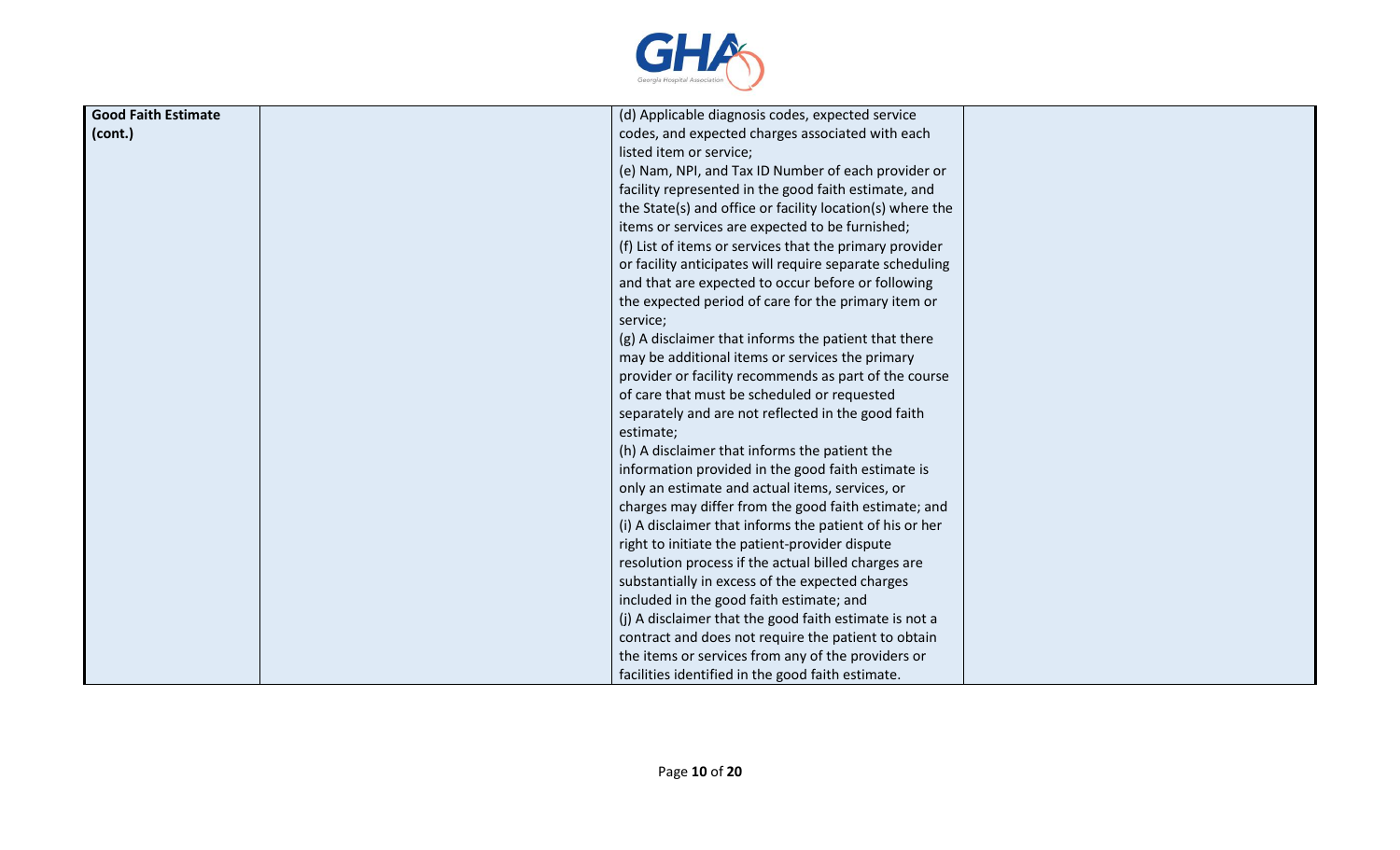

| <b>Good Faith Estimate</b> | (d) Applicable diagnosis codes, expected service          |
|----------------------------|-----------------------------------------------------------|
| l (cont.)                  | codes, and expected charges associated with each          |
|                            | listed item or service;                                   |
|                            | (e) Nam, NPI, and Tax ID Number of each provider or       |
|                            | facility represented in the good faith estimate, and      |
|                            | the State(s) and office or facility location(s) where the |
|                            | items or services are expected to be furnished;           |
|                            | (f) List of items or services that the primary provider   |
|                            | or facility anticipates will require separate scheduling  |
|                            | and that are expected to occur before or following        |
|                            | the expected period of care for the primary item or       |
|                            | service;                                                  |
|                            | (g) A disclaimer that informs the patient that there      |
|                            | may be additional items or services the primary           |
|                            | provider or facility recommends as part of the course     |
|                            | of care that must be scheduled or requested               |
|                            | separately and are not reflected in the good faith        |
|                            | estimate;                                                 |
|                            | (h) A disclaimer that informs the patient the             |
|                            | information provided in the good faith estimate is        |
|                            | only an estimate and actual items, services, or           |
|                            | charges may differ from the good faith estimate; and      |
|                            | (i) A disclaimer that informs the patient of his or her   |
|                            | right to initiate the patient-provider dispute            |
|                            | resolution process if the actual billed charges are       |
|                            | substantially in excess of the expected charges           |
|                            | included in the good faith estimate; and                  |
|                            | (j) A disclaimer that the good faith estimate is not a    |
|                            | contract and does not require the patient to obtain       |
|                            | the items or services from any of the providers or        |
|                            | facilities identified in the good faith estimate.         |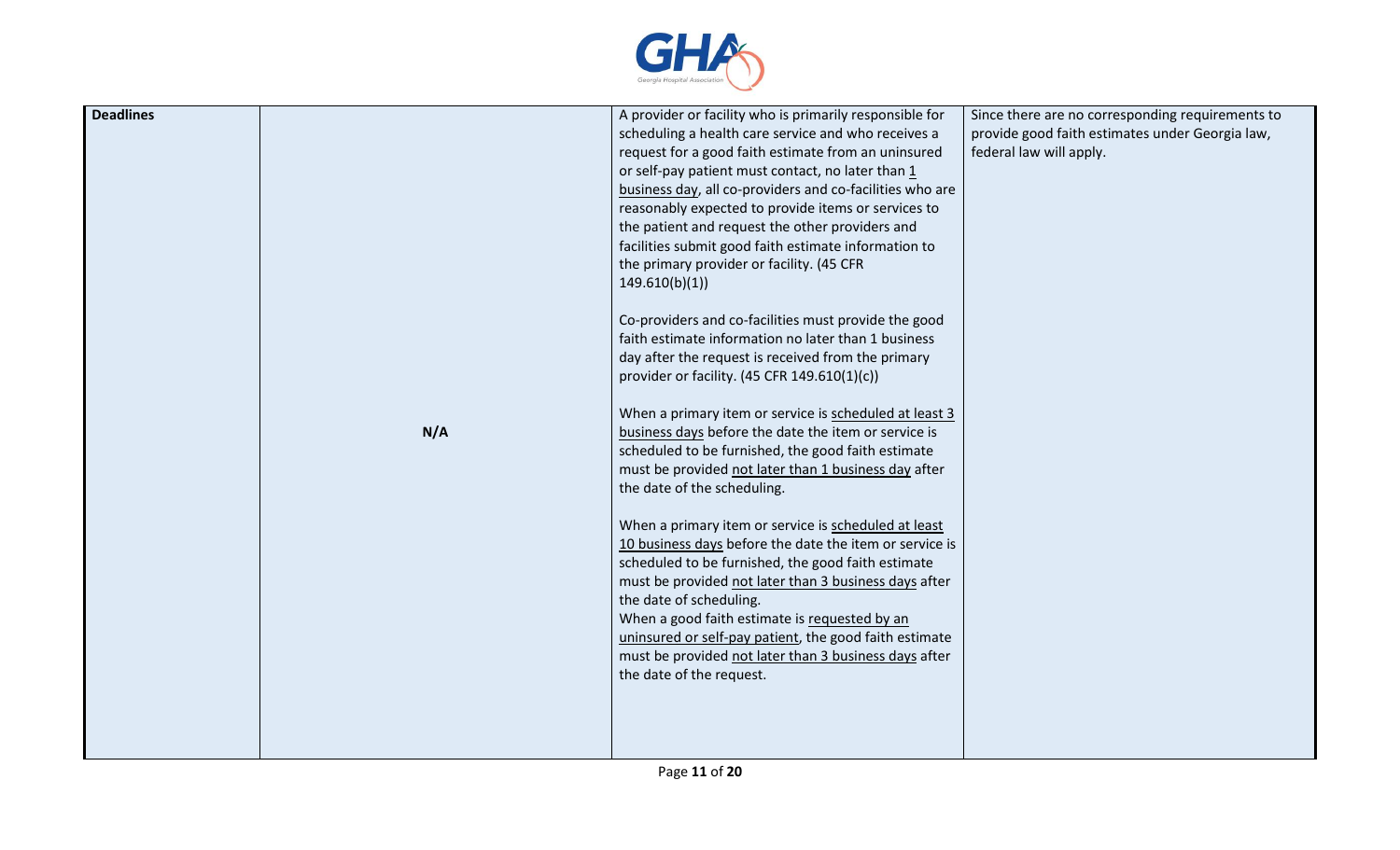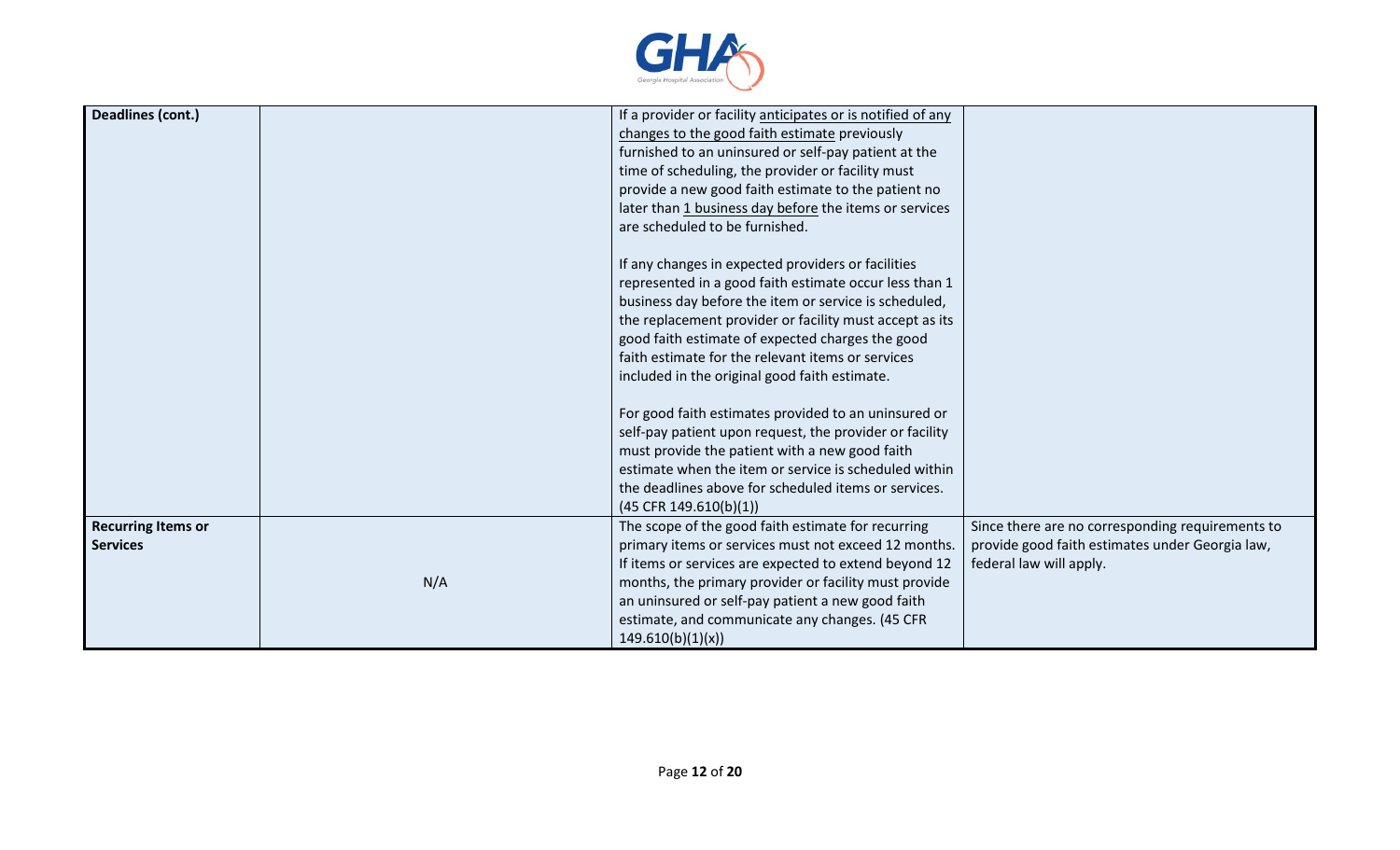

| Deadlines (cont.)                            |     | If a provider or facility anticipates or is notified of any<br>changes to the good faith estimate previously<br>furnished to an uninsured or self-pay patient at the<br>time of scheduling, the provider or facility must<br>provide a new good faith estimate to the patient no<br>later than 1 business day before the items or services<br>are scheduled to be furnished.<br>If any changes in expected providers or facilities                      |                                                                                                                                |
|----------------------------------------------|-----|---------------------------------------------------------------------------------------------------------------------------------------------------------------------------------------------------------------------------------------------------------------------------------------------------------------------------------------------------------------------------------------------------------------------------------------------------------|--------------------------------------------------------------------------------------------------------------------------------|
|                                              |     | represented in a good faith estimate occur less than 1<br>business day before the item or service is scheduled,<br>the replacement provider or facility must accept as its<br>good faith estimate of expected charges the good<br>faith estimate for the relevant items or services<br>included in the original good faith estimate.<br>For good faith estimates provided to an uninsured or<br>self-pay patient upon request, the provider or facility |                                                                                                                                |
|                                              |     | must provide the patient with a new good faith<br>estimate when the item or service is scheduled within<br>the deadlines above for scheduled items or services.<br>$(45$ CFR 149.610(b)(1))                                                                                                                                                                                                                                                             |                                                                                                                                |
| <b>Recurring Items or</b><br><b>Services</b> | N/A | The scope of the good faith estimate for recurring<br>primary items or services must not exceed 12 months.<br>If items or services are expected to extend beyond 12<br>months, the primary provider or facility must provide<br>an uninsured or self-pay patient a new good faith<br>estimate, and communicate any changes. (45 CFR<br>149.610(b)(1)(x)                                                                                                 | Since there are no corresponding requirements to<br>provide good faith estimates under Georgia law,<br>federal law will apply. |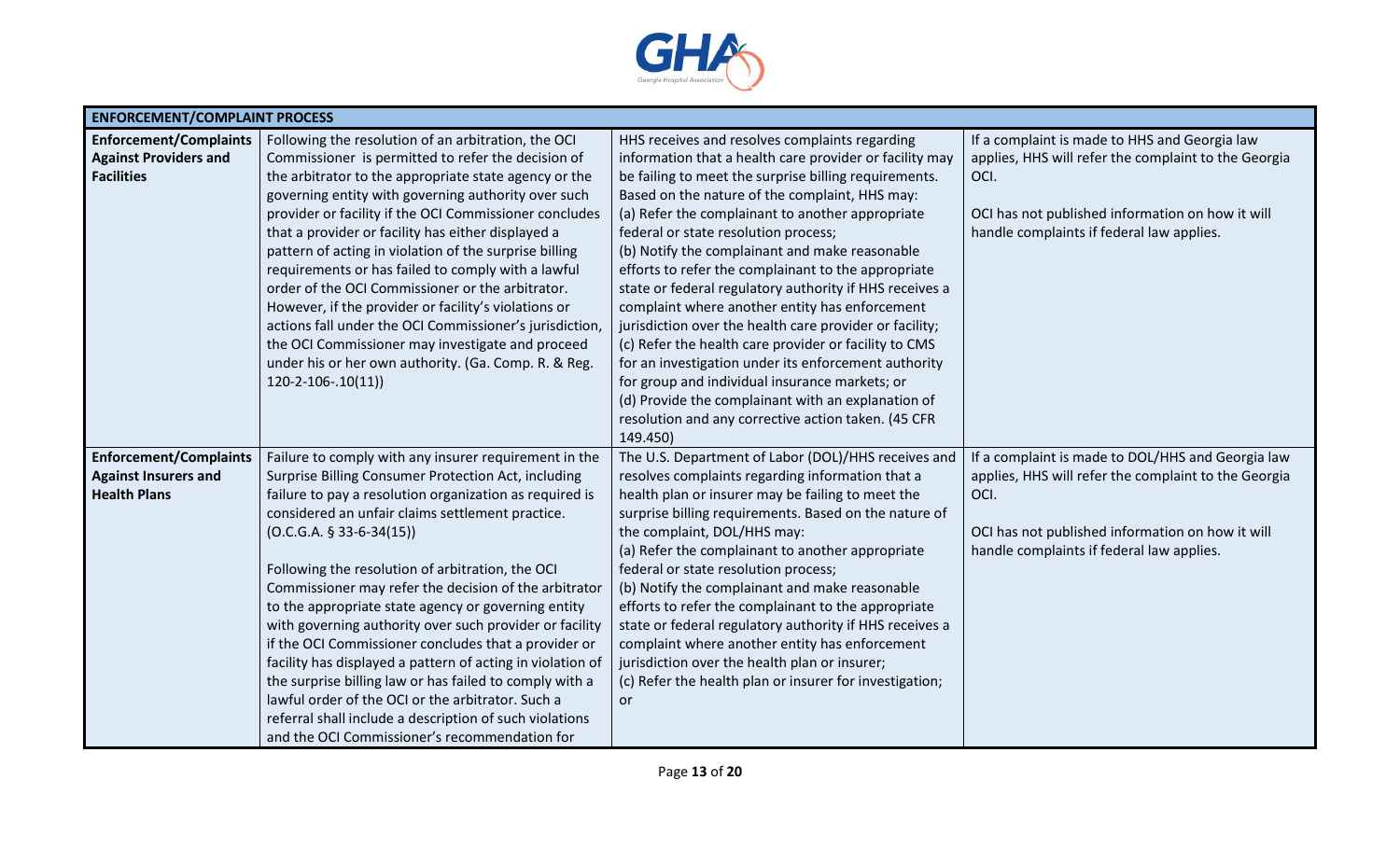

| <b>ENFORCEMENT/COMPLAINT PROCESS</b> |                                                                                                              |                                                         |                                                      |  |
|--------------------------------------|--------------------------------------------------------------------------------------------------------------|---------------------------------------------------------|------------------------------------------------------|--|
| <b>Enforcement/Complaints</b>        | Following the resolution of an arbitration, the OCI                                                          | HHS receives and resolves complaints regarding          | If a complaint is made to HHS and Georgia law        |  |
| <b>Against Providers and</b>         | Commissioner is permitted to refer the decision of                                                           | information that a health care provider or facility may | applies, HHS will refer the complaint to the Georgia |  |
| <b>Facilities</b>                    | the arbitrator to the appropriate state agency or the                                                        | be failing to meet the surprise billing requirements.   | OCI.                                                 |  |
|                                      | governing entity with governing authority over such                                                          | Based on the nature of the complaint, HHS may:          |                                                      |  |
|                                      | provider or facility if the OCI Commissioner concludes                                                       | (a) Refer the complainant to another appropriate        | OCI has not published information on how it will     |  |
|                                      | that a provider or facility has either displayed a                                                           | federal or state resolution process;                    | handle complaints if federal law applies.            |  |
|                                      | pattern of acting in violation of the surprise billing                                                       | (b) Notify the complainant and make reasonable          |                                                      |  |
|                                      | requirements or has failed to comply with a lawful                                                           | efforts to refer the complainant to the appropriate     |                                                      |  |
|                                      | order of the OCI Commissioner or the arbitrator.                                                             | state or federal regulatory authority if HHS receives a |                                                      |  |
|                                      | However, if the provider or facility's violations or                                                         | complaint where another entity has enforcement          |                                                      |  |
|                                      | actions fall under the OCI Commissioner's jurisdiction,                                                      | jurisdiction over the health care provider or facility; |                                                      |  |
|                                      | the OCI Commissioner may investigate and proceed                                                             | (c) Refer the health care provider or facility to CMS   |                                                      |  |
|                                      | under his or her own authority. (Ga. Comp. R. & Reg.                                                         | for an investigation under its enforcement authority    |                                                      |  |
|                                      | $120-2-106-.10(11)$                                                                                          | for group and individual insurance markets; or          |                                                      |  |
|                                      |                                                                                                              | (d) Provide the complainant with an explanation of      |                                                      |  |
|                                      |                                                                                                              | resolution and any corrective action taken. (45 CFR     |                                                      |  |
|                                      |                                                                                                              | 149.450)                                                |                                                      |  |
| <b>Enforcement/Complaints</b>        | Failure to comply with any insurer requirement in the                                                        | The U.S. Department of Labor (DOL)/HHS receives and     | If a complaint is made to DOL/HHS and Georgia law    |  |
| <b>Against Insurers and</b>          | Surprise Billing Consumer Protection Act, including                                                          | resolves complaints regarding information that a        | applies, HHS will refer the complaint to the Georgia |  |
| <b>Health Plans</b>                  | failure to pay a resolution organization as required is                                                      | health plan or insurer may be failing to meet the       | OCI.                                                 |  |
|                                      | considered an unfair claims settlement practice.                                                             | surprise billing requirements. Based on the nature of   |                                                      |  |
|                                      | $(O.C.G.A. § 33-6-34(15))$                                                                                   | the complaint, DOL/HHS may:                             | OCI has not published information on how it will     |  |
|                                      |                                                                                                              | (a) Refer the complainant to another appropriate        | handle complaints if federal law applies.            |  |
|                                      | Following the resolution of arbitration, the OCI                                                             | federal or state resolution process;                    |                                                      |  |
|                                      | Commissioner may refer the decision of the arbitrator                                                        | (b) Notify the complainant and make reasonable          |                                                      |  |
|                                      | to the appropriate state agency or governing entity                                                          | efforts to refer the complainant to the appropriate     |                                                      |  |
|                                      | with governing authority over such provider or facility                                                      | state or federal regulatory authority if HHS receives a |                                                      |  |
|                                      | if the OCI Commissioner concludes that a provider or                                                         | complaint where another entity has enforcement          |                                                      |  |
|                                      | facility has displayed a pattern of acting in violation of                                                   | jurisdiction over the health plan or insurer;           |                                                      |  |
|                                      | the surprise billing law or has failed to comply with a<br>lawful order of the OCI or the arbitrator. Such a | (c) Refer the health plan or insurer for investigation; |                                                      |  |
|                                      | referral shall include a description of such violations                                                      | <b>or</b>                                               |                                                      |  |
|                                      | and the OCI Commissioner's recommendation for                                                                |                                                         |                                                      |  |
|                                      |                                                                                                              |                                                         |                                                      |  |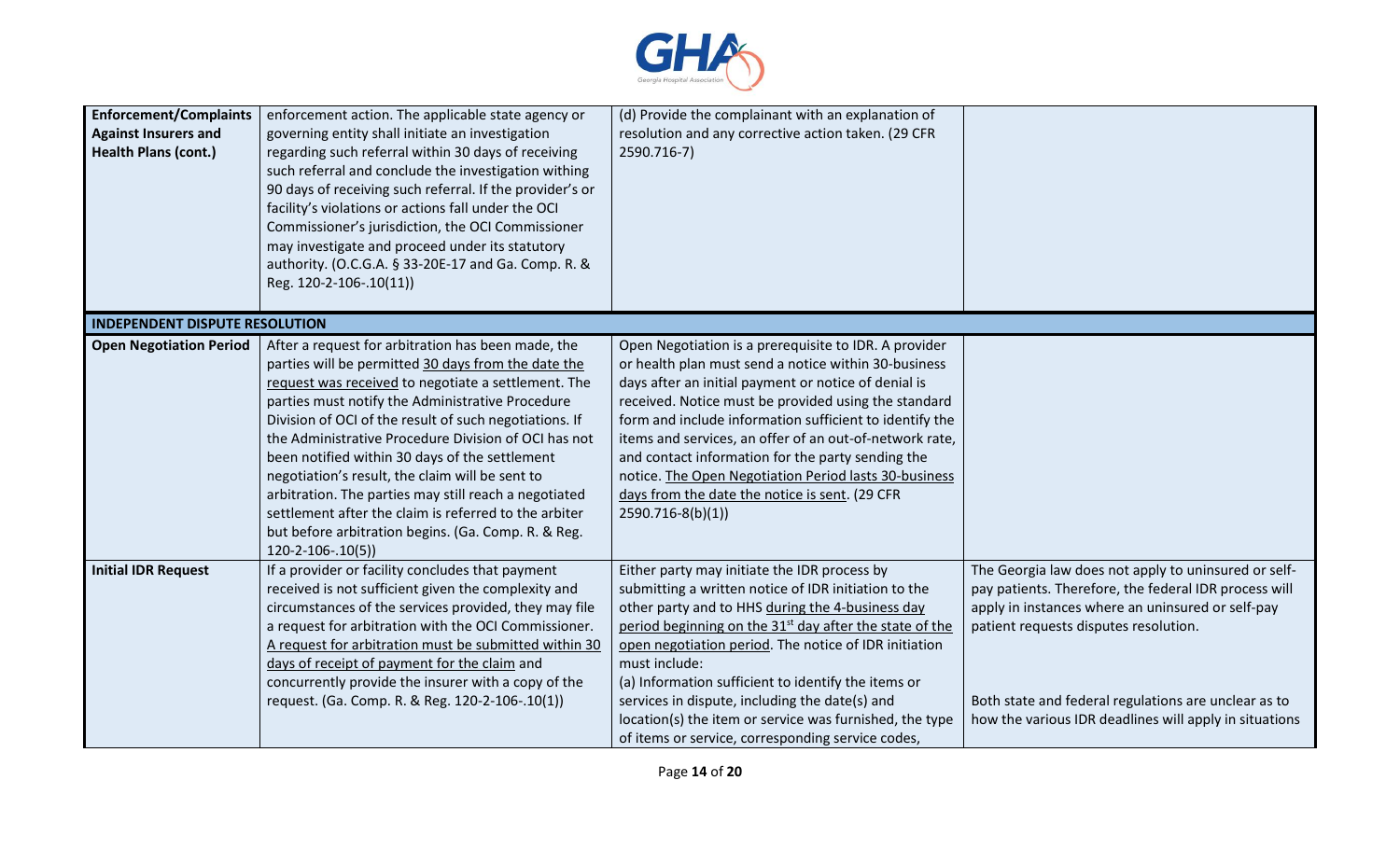

| <b>Enforcement/Complaints</b><br><b>Against Insurers and</b><br><b>Health Plans (cont.)</b> | enforcement action. The applicable state agency or<br>governing entity shall initiate an investigation<br>regarding such referral within 30 days of receiving<br>such referral and conclude the investigation withing<br>90 days of receiving such referral. If the provider's or<br>facility's violations or actions fall under the OCI<br>Commissioner's jurisdiction, the OCI Commissioner<br>may investigate and proceed under its statutory<br>authority. (O.C.G.A. § 33-20E-17 and Ga. Comp. R. &<br>Reg. 120-2-106-.10(11))                                                                                                                | (d) Provide the complainant with an explanation of<br>resolution and any corrective action taken. (29 CFR<br>2590.716-7)                                                                                                                                                                                                                                                                                                                                                                                                                 |                                                                                                                                                                                                                                                                                                                               |
|---------------------------------------------------------------------------------------------|---------------------------------------------------------------------------------------------------------------------------------------------------------------------------------------------------------------------------------------------------------------------------------------------------------------------------------------------------------------------------------------------------------------------------------------------------------------------------------------------------------------------------------------------------------------------------------------------------------------------------------------------------|------------------------------------------------------------------------------------------------------------------------------------------------------------------------------------------------------------------------------------------------------------------------------------------------------------------------------------------------------------------------------------------------------------------------------------------------------------------------------------------------------------------------------------------|-------------------------------------------------------------------------------------------------------------------------------------------------------------------------------------------------------------------------------------------------------------------------------------------------------------------------------|
| <b>INDEPENDENT DISPUTE RESOLUTION</b>                                                       |                                                                                                                                                                                                                                                                                                                                                                                                                                                                                                                                                                                                                                                   |                                                                                                                                                                                                                                                                                                                                                                                                                                                                                                                                          |                                                                                                                                                                                                                                                                                                                               |
| <b>Open Negotiation Period</b>                                                              | After a request for arbitration has been made, the<br>parties will be permitted 30 days from the date the<br>request was received to negotiate a settlement. The<br>parties must notify the Administrative Procedure<br>Division of OCI of the result of such negotiations. If<br>the Administrative Procedure Division of OCI has not<br>been notified within 30 days of the settlement<br>negotiation's result, the claim will be sent to<br>arbitration. The parties may still reach a negotiated<br>settlement after the claim is referred to the arbiter<br>but before arbitration begins. (Ga. Comp. R. & Reg.<br>$120 - 2 - 106 - 0.10(5)$ | Open Negotiation is a prerequisite to IDR. A provider<br>or health plan must send a notice within 30-business<br>days after an initial payment or notice of denial is<br>received. Notice must be provided using the standard<br>form and include information sufficient to identify the<br>items and services, an offer of an out-of-network rate,<br>and contact information for the party sending the<br>notice. The Open Negotiation Period lasts 30-business<br>days from the date the notice is sent. (29 CFR<br>2590.716-8(b)(1)) |                                                                                                                                                                                                                                                                                                                               |
| <b>Initial IDR Request</b>                                                                  | If a provider or facility concludes that payment<br>received is not sufficient given the complexity and<br>circumstances of the services provided, they may file<br>a request for arbitration with the OCI Commissioner.<br>A request for arbitration must be submitted within 30<br>days of receipt of payment for the claim and<br>concurrently provide the insurer with a copy of the<br>request. (Ga. Comp. R. & Reg. 120-2-106-.10(1))                                                                                                                                                                                                       | Either party may initiate the IDR process by<br>submitting a written notice of IDR initiation to the<br>other party and to HHS during the 4-business day<br>period beginning on the 31 <sup>st</sup> day after the state of the<br>open negotiation period. The notice of IDR initiation<br>must include:<br>(a) Information sufficient to identify the items or<br>services in dispute, including the date(s) and<br>location(s) the item or service was furnished, the type<br>of items or service, corresponding service codes,       | The Georgia law does not apply to uninsured or self-<br>pay patients. Therefore, the federal IDR process will<br>apply in instances where an uninsured or self-pay<br>patient requests disputes resolution.<br>Both state and federal regulations are unclear as to<br>how the various IDR deadlines will apply in situations |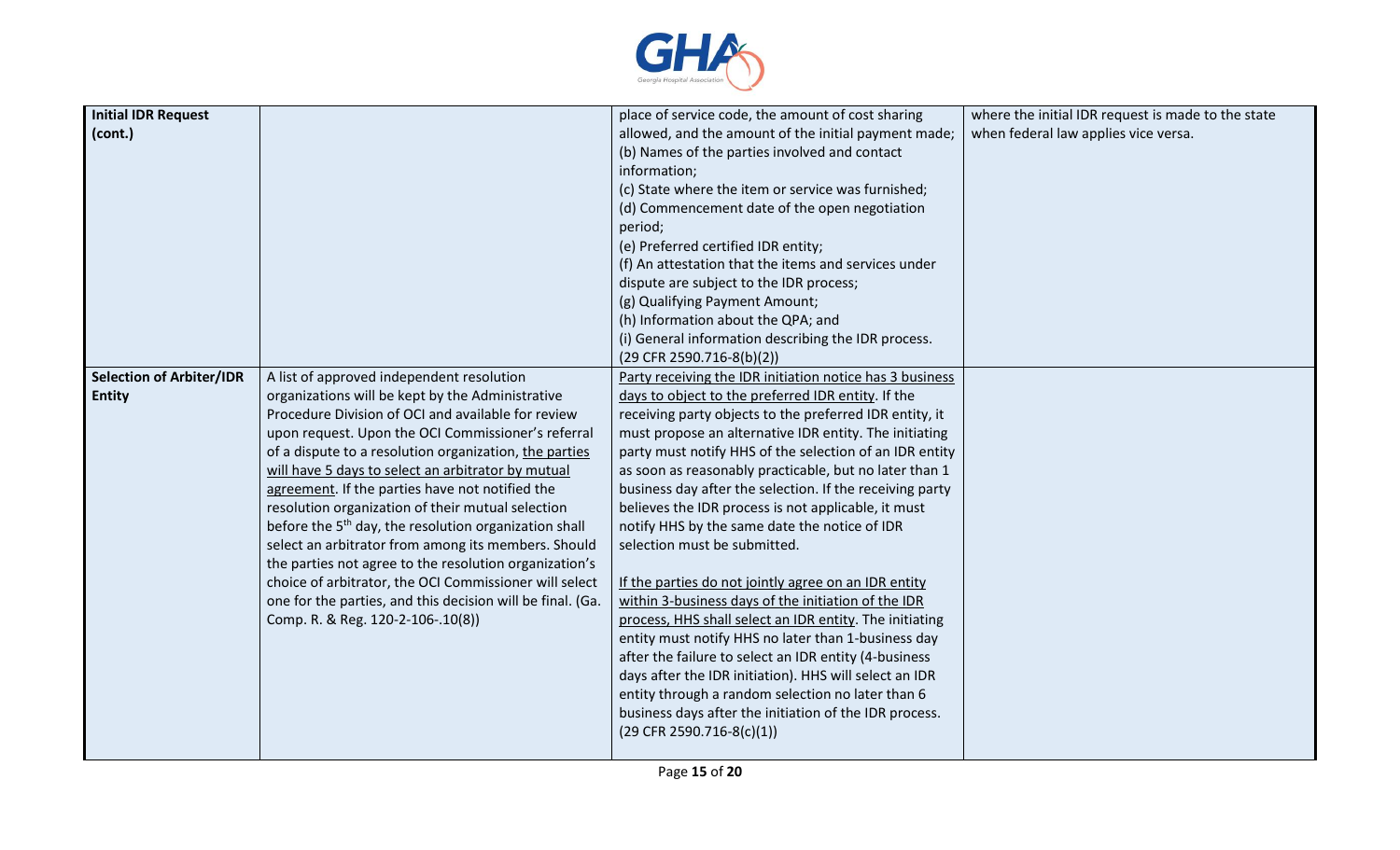

| <b>Initial IDR Request</b>      |                                                                   | place of service code, the amount of cost sharing        | where the initial IDR request is made to the state |
|---------------------------------|-------------------------------------------------------------------|----------------------------------------------------------|----------------------------------------------------|
| (cont.)                         |                                                                   | allowed, and the amount of the initial payment made;     | when federal law applies vice versa.               |
|                                 |                                                                   |                                                          |                                                    |
|                                 |                                                                   | (b) Names of the parties involved and contact            |                                                    |
|                                 |                                                                   | information;                                             |                                                    |
|                                 |                                                                   | (c) State where the item or service was furnished;       |                                                    |
|                                 |                                                                   | (d) Commencement date of the open negotiation            |                                                    |
|                                 |                                                                   | period;                                                  |                                                    |
|                                 |                                                                   | (e) Preferred certified IDR entity;                      |                                                    |
|                                 |                                                                   | (f) An attestation that the items and services under     |                                                    |
|                                 |                                                                   | dispute are subject to the IDR process;                  |                                                    |
|                                 |                                                                   | (g) Qualifying Payment Amount;                           |                                                    |
|                                 |                                                                   | (h) Information about the QPA; and                       |                                                    |
|                                 |                                                                   | (i) General information describing the IDR process.      |                                                    |
|                                 |                                                                   | (29 CFR 2590.716-8(b)(2))                                |                                                    |
| <b>Selection of Arbiter/IDR</b> | A list of approved independent resolution                         | Party receiving the IDR initiation notice has 3 business |                                                    |
| <b>Entity</b>                   | organizations will be kept by the Administrative                  | days to object to the preferred IDR entity. If the       |                                                    |
|                                 | Procedure Division of OCI and available for review                | receiving party objects to the preferred IDR entity, it  |                                                    |
|                                 | upon request. Upon the OCI Commissioner's referral                | must propose an alternative IDR entity. The initiating   |                                                    |
|                                 | of a dispute to a resolution organization, the parties            | party must notify HHS of the selection of an IDR entity  |                                                    |
|                                 | will have 5 days to select an arbitrator by mutual                | as soon as reasonably practicable, but no later than 1   |                                                    |
|                                 | agreement. If the parties have not notified the                   | business day after the selection. If the receiving party |                                                    |
|                                 | resolution organization of their mutual selection                 | believes the IDR process is not applicable, it must      |                                                    |
|                                 | before the 5 <sup>th</sup> day, the resolution organization shall | notify HHS by the same date the notice of IDR            |                                                    |
|                                 | select an arbitrator from among its members. Should               | selection must be submitted.                             |                                                    |
|                                 | the parties not agree to the resolution organization's            |                                                          |                                                    |
|                                 | choice of arbitrator, the OCI Commissioner will select            | If the parties do not jointly agree on an IDR entity     |                                                    |
|                                 | one for the parties, and this decision will be final. (Ga.        | within 3-business days of the initiation of the IDR      |                                                    |
|                                 | Comp. R. & Reg. 120-2-106-.10(8))                                 | process, HHS shall select an IDR entity. The initiating  |                                                    |
|                                 |                                                                   | entity must notify HHS no later than 1-business day      |                                                    |
|                                 |                                                                   | after the failure to select an IDR entity (4-business    |                                                    |
|                                 |                                                                   | days after the IDR initiation). HHS will select an IDR   |                                                    |
|                                 |                                                                   | entity through a random selection no later than 6        |                                                    |
|                                 |                                                                   | business days after the initiation of the IDR process.   |                                                    |
|                                 |                                                                   | $(29$ CFR 2590.716-8(c)(1))                              |                                                    |
|                                 |                                                                   |                                                          |                                                    |
|                                 |                                                                   |                                                          |                                                    |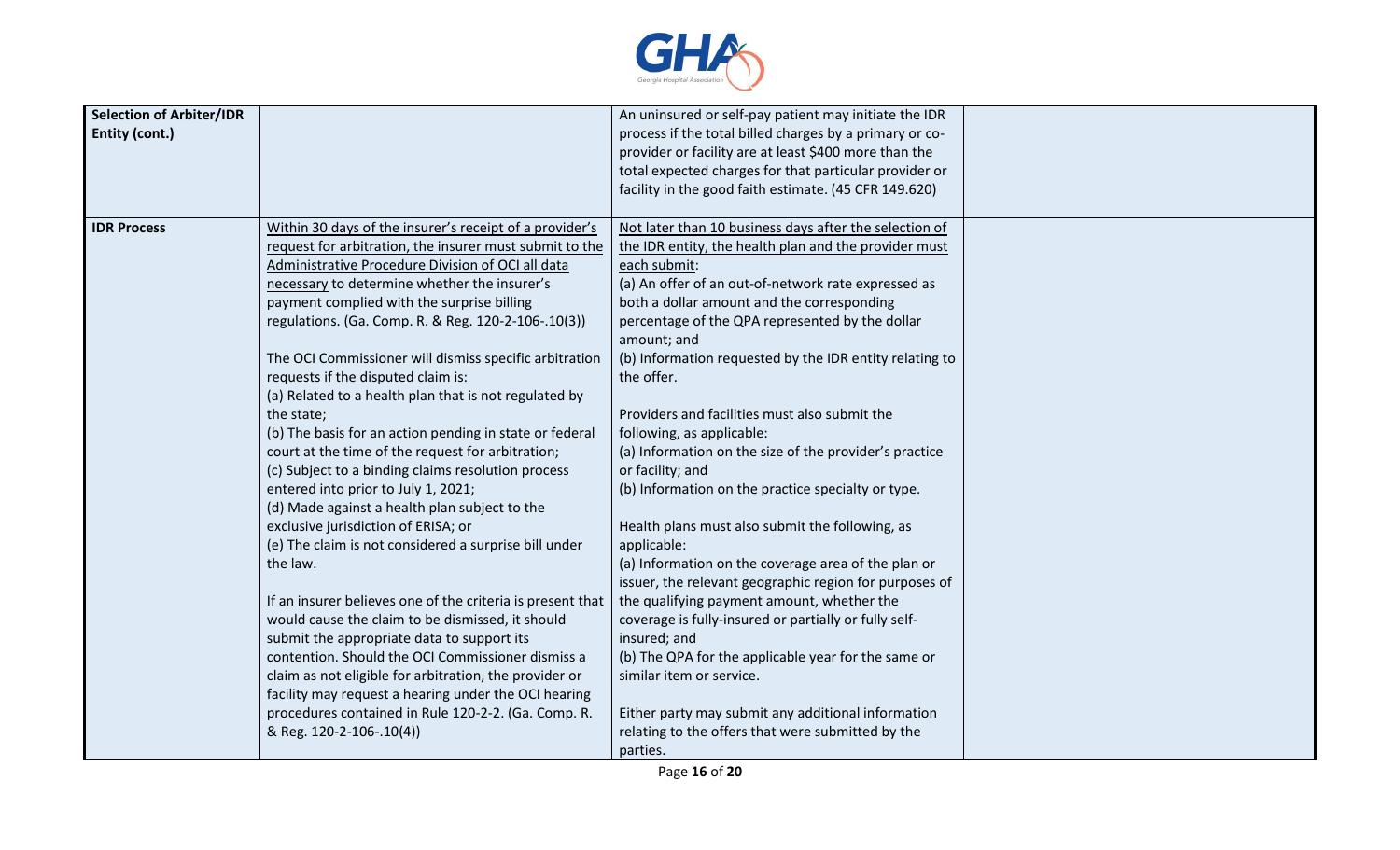

| <b>Selection of Arbiter/IDR</b> |                                                            | An uninsured or self-pay patient may initiate the IDR   |  |
|---------------------------------|------------------------------------------------------------|---------------------------------------------------------|--|
| Entity (cont.)                  |                                                            | process if the total billed charges by a primary or co- |  |
|                                 |                                                            | provider or facility are at least \$400 more than the   |  |
|                                 |                                                            | total expected charges for that particular provider or  |  |
|                                 |                                                            | facility in the good faith estimate. (45 CFR 149.620)   |  |
|                                 |                                                            |                                                         |  |
| <b>IDR Process</b>              | Within 30 days of the insurer's receipt of a provider's    | Not later than 10 business days after the selection of  |  |
|                                 | request for arbitration, the insurer must submit to the    | the IDR entity, the health plan and the provider must   |  |
|                                 | Administrative Procedure Division of OCI all data          | each submit:                                            |  |
|                                 | necessary to determine whether the insurer's               | (a) An offer of an out-of-network rate expressed as     |  |
|                                 | payment complied with the surprise billing                 | both a dollar amount and the corresponding              |  |
|                                 | regulations. (Ga. Comp. R. & Reg. 120-2-106-.10(3))        | percentage of the QPA represented by the dollar         |  |
|                                 |                                                            | amount; and                                             |  |
|                                 | The OCI Commissioner will dismiss specific arbitration     | (b) Information requested by the IDR entity relating to |  |
|                                 | requests if the disputed claim is:                         | the offer.                                              |  |
|                                 | (a) Related to a health plan that is not regulated by      |                                                         |  |
|                                 | the state;                                                 | Providers and facilities must also submit the           |  |
|                                 | (b) The basis for an action pending in state or federal    | following, as applicable:                               |  |
|                                 | court at the time of the request for arbitration;          | (a) Information on the size of the provider's practice  |  |
|                                 | (c) Subject to a binding claims resolution process         | or facility; and                                        |  |
|                                 | entered into prior to July 1, 2021;                        | (b) Information on the practice specialty or type.      |  |
|                                 | (d) Made against a health plan subject to the              |                                                         |  |
|                                 | exclusive jurisdiction of ERISA; or                        | Health plans must also submit the following, as         |  |
|                                 | (e) The claim is not considered a surprise bill under      | applicable:                                             |  |
|                                 | the law.                                                   | (a) Information on the coverage area of the plan or     |  |
|                                 |                                                            | issuer, the relevant geographic region for purposes of  |  |
|                                 | If an insurer believes one of the criteria is present that | the qualifying payment amount, whether the              |  |
|                                 | would cause the claim to be dismissed, it should           | coverage is fully-insured or partially or fully self-   |  |
|                                 | submit the appropriate data to support its                 | insured; and                                            |  |
|                                 | contention. Should the OCI Commissioner dismiss a          |                                                         |  |
|                                 |                                                            | (b) The QPA for the applicable year for the same or     |  |
|                                 | claim as not eligible for arbitration, the provider or     | similar item or service.                                |  |
|                                 | facility may request a hearing under the OCI hearing       |                                                         |  |
|                                 | procedures contained in Rule 120-2-2. (Ga. Comp. R.        | Either party may submit any additional information      |  |
|                                 | & Reg. 120-2-106-.10(4))                                   | relating to the offers that were submitted by the       |  |
|                                 |                                                            | parties.                                                |  |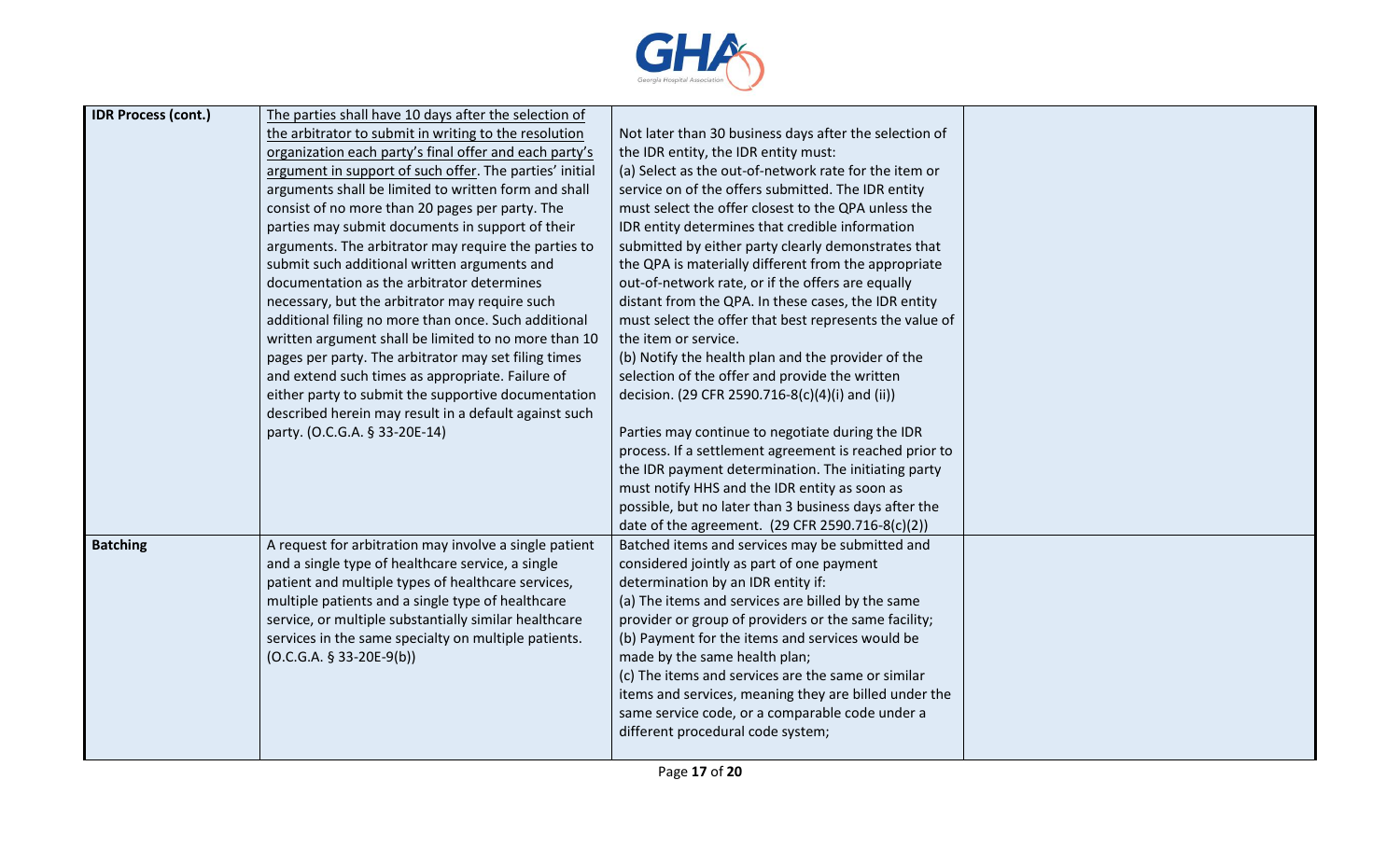

| <b>IDR Process (cont.)</b> | The parties shall have 10 days after the selection of   |                                                         |  |
|----------------------------|---------------------------------------------------------|---------------------------------------------------------|--|
|                            | the arbitrator to submit in writing to the resolution   | Not later than 30 business days after the selection of  |  |
|                            | organization each party's final offer and each party's  | the IDR entity, the IDR entity must:                    |  |
|                            | argument in support of such offer. The parties' initial | (a) Select as the out-of-network rate for the item or   |  |
|                            | arguments shall be limited to written form and shall    | service on of the offers submitted. The IDR entity      |  |
|                            | consist of no more than 20 pages per party. The         | must select the offer closest to the QPA unless the     |  |
|                            | parties may submit documents in support of their        | IDR entity determines that credible information         |  |
|                            | arguments. The arbitrator may require the parties to    | submitted by either party clearly demonstrates that     |  |
|                            | submit such additional written arguments and            | the QPA is materially different from the appropriate    |  |
|                            | documentation as the arbitrator determines              | out-of-network rate, or if the offers are equally       |  |
|                            | necessary, but the arbitrator may require such          | distant from the QPA. In these cases, the IDR entity    |  |
|                            | additional filing no more than once. Such additional    | must select the offer that best represents the value of |  |
|                            | written argument shall be limited to no more than 10    | the item or service.                                    |  |
|                            | pages per party. The arbitrator may set filing times    | (b) Notify the health plan and the provider of the      |  |
|                            | and extend such times as appropriate. Failure of        | selection of the offer and provide the written          |  |
|                            | either party to submit the supportive documentation     | decision. (29 CFR 2590.716-8(c)(4)(i) and (ii))         |  |
|                            | described herein may result in a default against such   |                                                         |  |
|                            | party. (O.C.G.A. § 33-20E-14)                           | Parties may continue to negotiate during the IDR        |  |
|                            |                                                         | process. If a settlement agreement is reached prior to  |  |
|                            |                                                         | the IDR payment determination. The initiating party     |  |
|                            |                                                         | must notify HHS and the IDR entity as soon as           |  |
|                            |                                                         | possible, but no later than 3 business days after the   |  |
|                            |                                                         | date of the agreement. (29 CFR 2590.716-8(c)(2))        |  |
| <b>Batching</b>            | A request for arbitration may involve a single patient  | Batched items and services may be submitted and         |  |
|                            | and a single type of healthcare service, a single       | considered jointly as part of one payment               |  |
|                            | patient and multiple types of healthcare services,      | determination by an IDR entity if:                      |  |
|                            | multiple patients and a single type of healthcare       | (a) The items and services are billed by the same       |  |
|                            | service, or multiple substantially similar healthcare   | provider or group of providers or the same facility;    |  |
|                            | services in the same specialty on multiple patients.    | (b) Payment for the items and services would be         |  |
|                            | $(O.C.G.A. § 33-20E-9(b))$                              | made by the same health plan;                           |  |
|                            |                                                         | (c) The items and services are the same or similar      |  |
|                            |                                                         | items and services, meaning they are billed under the   |  |
|                            |                                                         | same service code, or a comparable code under a         |  |
|                            |                                                         | different procedural code system;                       |  |
|                            |                                                         |                                                         |  |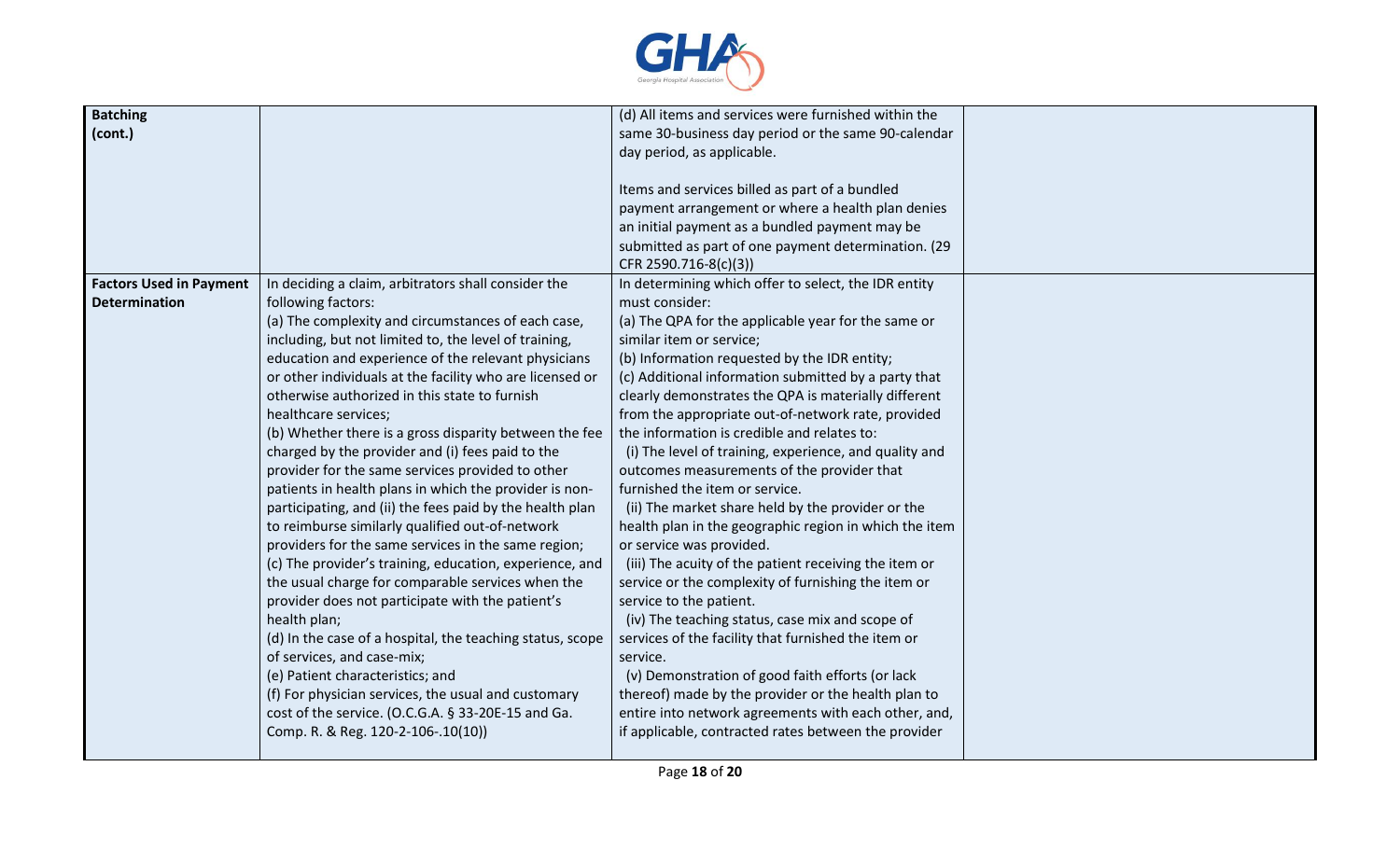

| <b>Batching</b>                |                                                           | (d) All items and services were furnished within the   |  |
|--------------------------------|-----------------------------------------------------------|--------------------------------------------------------|--|
| (cont.)                        |                                                           | same 30-business day period or the same 90-calendar    |  |
|                                |                                                           | day period, as applicable.                             |  |
|                                |                                                           |                                                        |  |
|                                |                                                           | Items and services billed as part of a bundled         |  |
|                                |                                                           | payment arrangement or where a health plan denies      |  |
|                                |                                                           | an initial payment as a bundled payment may be         |  |
|                                |                                                           | submitted as part of one payment determination. (29    |  |
|                                |                                                           | CFR 2590.716-8(c)(3))                                  |  |
| <b>Factors Used in Payment</b> | In deciding a claim, arbitrators shall consider the       | In determining which offer to select, the IDR entity   |  |
| <b>Determination</b>           | following factors:                                        | must consider:                                         |  |
|                                | (a) The complexity and circumstances of each case,        | (a) The QPA for the applicable year for the same or    |  |
|                                | including, but not limited to, the level of training,     | similar item or service;                               |  |
|                                | education and experience of the relevant physicians       | (b) Information requested by the IDR entity;           |  |
|                                | or other individuals at the facility who are licensed or  | (c) Additional information submitted by a party that   |  |
|                                | otherwise authorized in this state to furnish             | clearly demonstrates the QPA is materially different   |  |
|                                | healthcare services;                                      | from the appropriate out-of-network rate, provided     |  |
|                                | (b) Whether there is a gross disparity between the fee    | the information is credible and relates to:            |  |
|                                | charged by the provider and (i) fees paid to the          | (i) The level of training, experience, and quality and |  |
|                                | provider for the same services provided to other          | outcomes measurements of the provider that             |  |
|                                | patients in health plans in which the provider is non-    | furnished the item or service.                         |  |
|                                |                                                           |                                                        |  |
|                                | participating, and (ii) the fees paid by the health plan  | (ii) The market share held by the provider or the      |  |
|                                | to reimburse similarly qualified out-of-network           | health plan in the geographic region in which the item |  |
|                                | providers for the same services in the same region;       | or service was provided.                               |  |
|                                | (c) The provider's training, education, experience, and   | (iii) The acuity of the patient receiving the item or  |  |
|                                | the usual charge for comparable services when the         | service or the complexity of furnishing the item or    |  |
|                                | provider does not participate with the patient's          | service to the patient.                                |  |
|                                | health plan;                                              | (iv) The teaching status, case mix and scope of        |  |
|                                | (d) In the case of a hospital, the teaching status, scope | services of the facility that furnished the item or    |  |
|                                | of services, and case-mix;                                | service.                                               |  |
|                                | (e) Patient characteristics; and                          | (v) Demonstration of good faith efforts (or lack       |  |
|                                | (f) For physician services, the usual and customary       | thereof) made by the provider or the health plan to    |  |
|                                | cost of the service. (O.C.G.A. § 33-20E-15 and Ga.        | entire into network agreements with each other, and,   |  |
|                                | Comp. R. & Reg. 120-2-106-.10(10))                        | if applicable, contracted rates between the provider   |  |
|                                |                                                           |                                                        |  |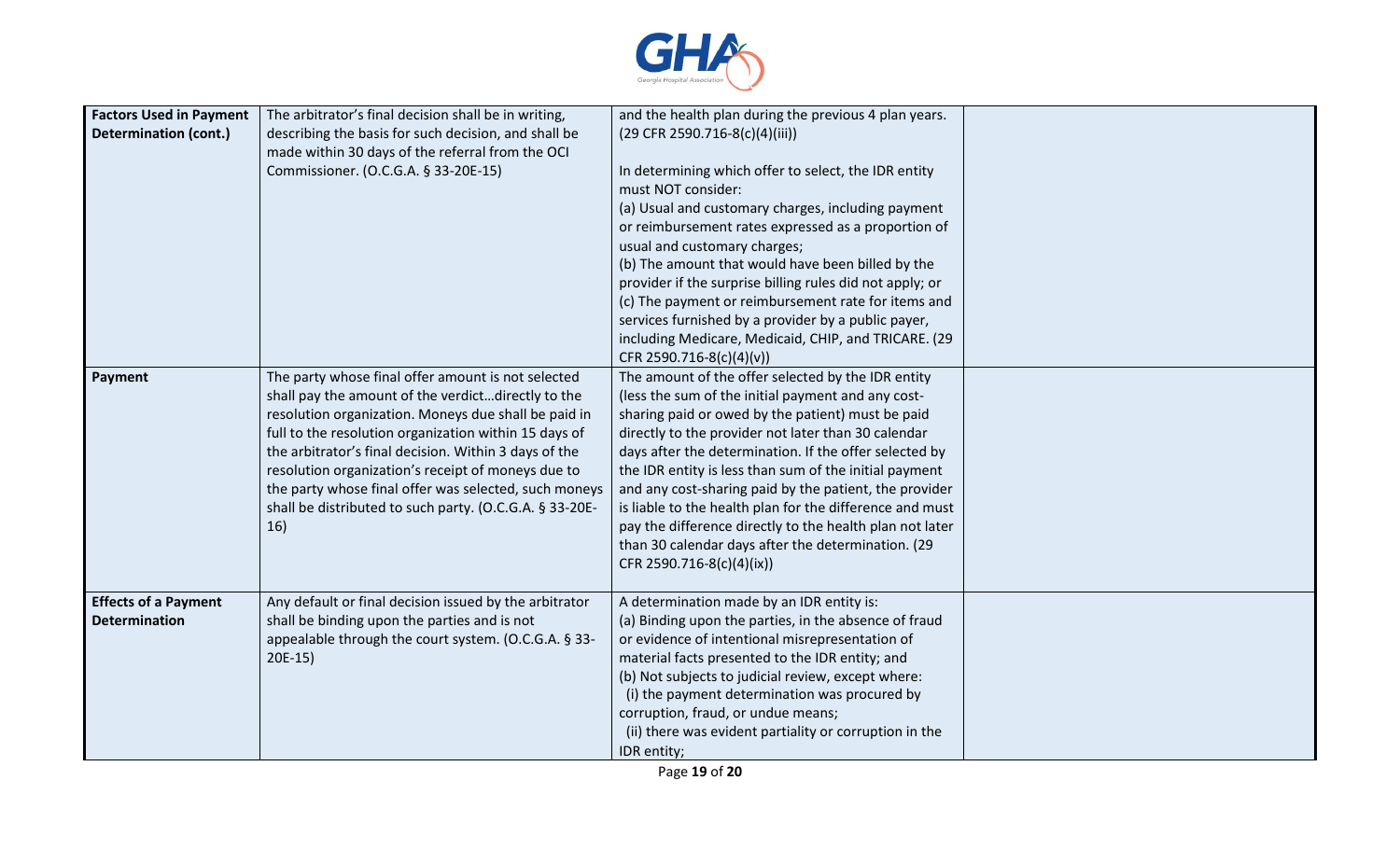

| <b>Factors Used in Payment</b><br><b>Determination (cont.)</b> | The arbitrator's final decision shall be in writing,<br>describing the basis for such decision, and shall be<br>made within 30 days of the referral from the OCI<br>Commissioner. (O.C.G.A. § 33-20E-15)                                                                                                                                                                                                                                                            | and the health plan during the previous 4 plan years.<br>(29 CFR 2590.716-8(c)(4)(iii))<br>In determining which offer to select, the IDR entity<br>must NOT consider:<br>(a) Usual and customary charges, including payment<br>or reimbursement rates expressed as a proportion of<br>usual and customary charges;<br>(b) The amount that would have been billed by the<br>provider if the surprise billing rules did not apply; or<br>(c) The payment or reimbursement rate for items and<br>services furnished by a provider by a public payer,<br>including Medicare, Medicaid, CHIP, and TRICARE. (29<br>CFR 2590.716-8(c)(4)(v)) |  |
|----------------------------------------------------------------|---------------------------------------------------------------------------------------------------------------------------------------------------------------------------------------------------------------------------------------------------------------------------------------------------------------------------------------------------------------------------------------------------------------------------------------------------------------------|---------------------------------------------------------------------------------------------------------------------------------------------------------------------------------------------------------------------------------------------------------------------------------------------------------------------------------------------------------------------------------------------------------------------------------------------------------------------------------------------------------------------------------------------------------------------------------------------------------------------------------------|--|
| Payment                                                        | The party whose final offer amount is not selected<br>shall pay the amount of the verdictdirectly to the<br>resolution organization. Moneys due shall be paid in<br>full to the resolution organization within 15 days of<br>the arbitrator's final decision. Within 3 days of the<br>resolution organization's receipt of moneys due to<br>the party whose final offer was selected, such moneys<br>shall be distributed to such party. (O.C.G.A. § 33-20E-<br>16) | The amount of the offer selected by the IDR entity<br>(less the sum of the initial payment and any cost-<br>sharing paid or owed by the patient) must be paid<br>directly to the provider not later than 30 calendar<br>days after the determination. If the offer selected by<br>the IDR entity is less than sum of the initial payment<br>and any cost-sharing paid by the patient, the provider<br>is liable to the health plan for the difference and must<br>pay the difference directly to the health plan not later<br>than 30 calendar days after the determination. (29<br>CFR 2590.716-8(c)(4)(ix))                         |  |
| <b>Effects of a Payment</b><br><b>Determination</b>            | Any default or final decision issued by the arbitrator<br>shall be binding upon the parties and is not<br>appealable through the court system. (O.C.G.A. § 33-<br>$20E-15$                                                                                                                                                                                                                                                                                          | A determination made by an IDR entity is:<br>(a) Binding upon the parties, in the absence of fraud<br>or evidence of intentional misrepresentation of<br>material facts presented to the IDR entity; and<br>(b) Not subjects to judicial review, except where:<br>(i) the payment determination was procured by<br>corruption, fraud, or undue means;<br>(ii) there was evident partiality or corruption in the<br>IDR entity;                                                                                                                                                                                                        |  |